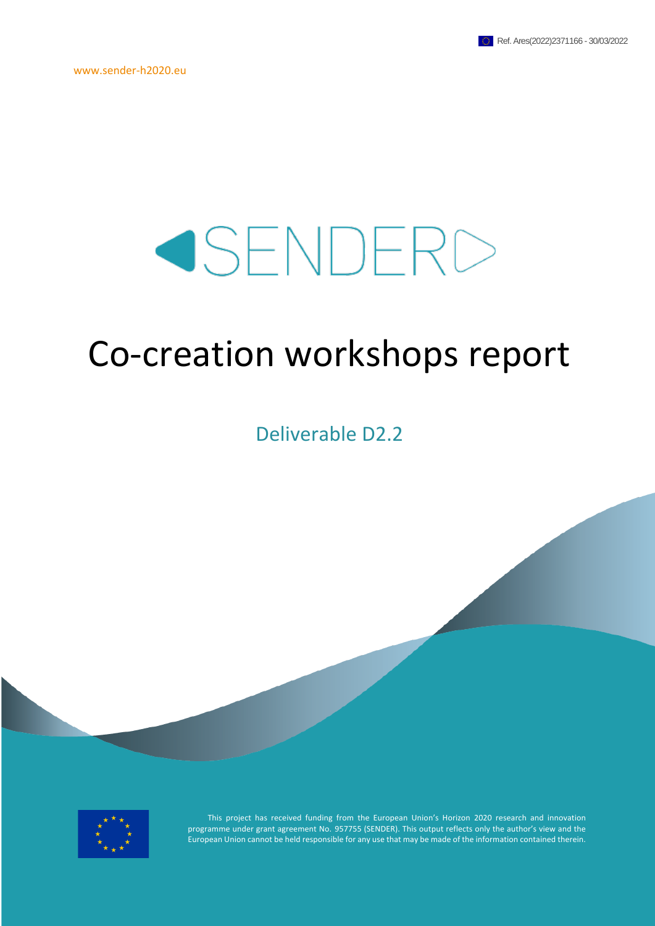# SENDERD

# Co-creation workshops report

Deliverable D2.2



This project has received funding from the European Union's Horizon 2020 research and innovation programme under grant agreement No. 957755 (SENDER). This output reflects only the author's view and the European Union cannot be held responsible for any use that may be made of the information contained therein.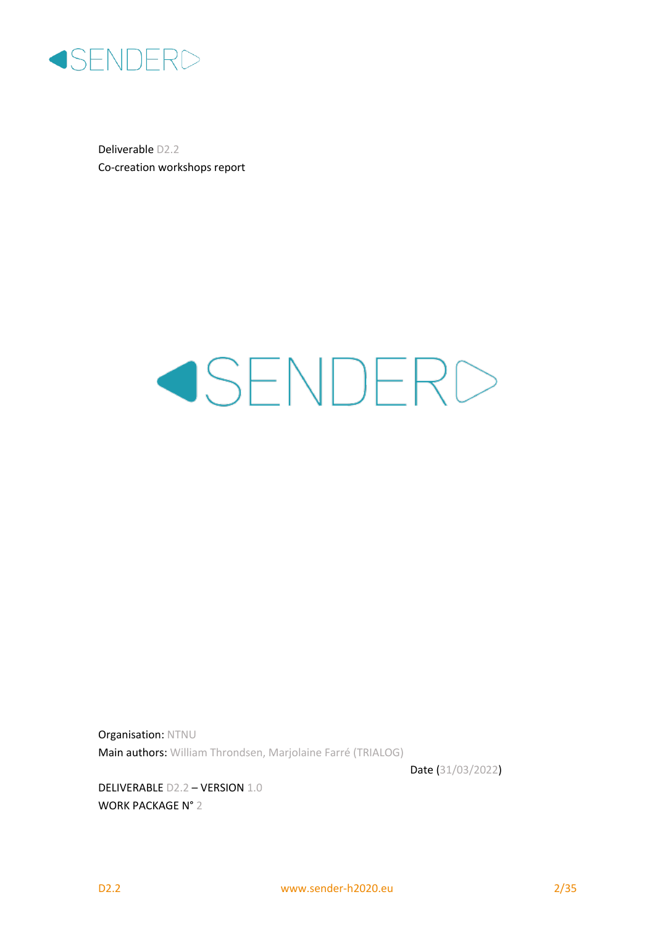

Deliverable D2.2 Co-creation workshops report

# SENDERD

Organisation: NTNU Main authors: William Throndsen, Marjolaine Farré (TRIALOG)

Date (31/03/2022)

DELIVERABLE D2.2 – VERSION 1.0 WORK PACKAGE N° 2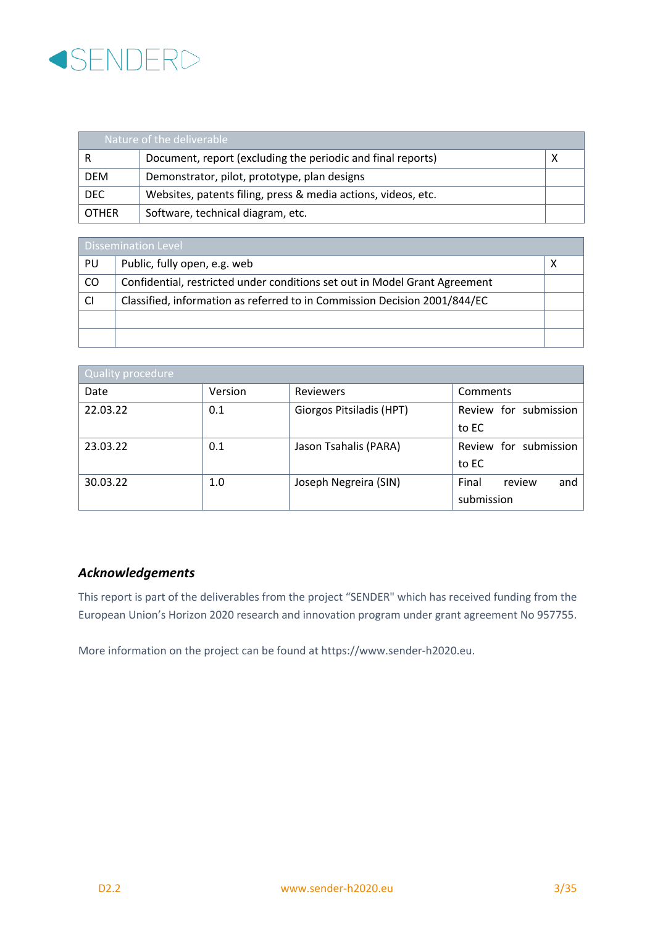

| Nature of the deliverable |                                                               |  |  |
|---------------------------|---------------------------------------------------------------|--|--|
|                           | Document, report (excluding the periodic and final reports)   |  |  |
| <b>DEM</b>                | Demonstrator, pilot, prototype, plan designs                  |  |  |
| <b>DEC</b>                | Websites, patents filing, press & media actions, videos, etc. |  |  |
| <b>OTHER</b>              | Software, technical diagram, etc.                             |  |  |

| Dissemination Level |                                                                            |  |  |
|---------------------|----------------------------------------------------------------------------|--|--|
| PU                  | Public, fully open, e.g. web                                               |  |  |
| CO                  | Confidential, restricted under conditions set out in Model Grant Agreement |  |  |
| <b>CI</b>           | Classified, information as referred to in Commission Decision 2001/844/EC  |  |  |
|                     |                                                                            |  |  |
|                     |                                                                            |  |  |

| Quality procedure |         |                          |                        |  |  |  |
|-------------------|---------|--------------------------|------------------------|--|--|--|
| Date              | Version | <b>Reviewers</b>         | Comments               |  |  |  |
| 22.03.22          | 0.1     | Giorgos Pitsiladis (HPT) | Review for submission  |  |  |  |
|                   |         |                          | to EC                  |  |  |  |
| 23.03.22          | 0.1     | Jason Tsahalis (PARA)    | Review for submission  |  |  |  |
|                   |         |                          | to EC                  |  |  |  |
| 30.03.22          | 1.0     | Joseph Negreira (SIN)    | Final<br>review<br>and |  |  |  |
|                   |         |                          | submission             |  |  |  |

#### *Acknowledgements*

This report is part of the deliverables from the project "SENDER" which has received funding from the European Union's Horizon 2020 research and innovation program under grant agreement No 957755.

More information on the project can be found at https://www.sender-h2020.eu.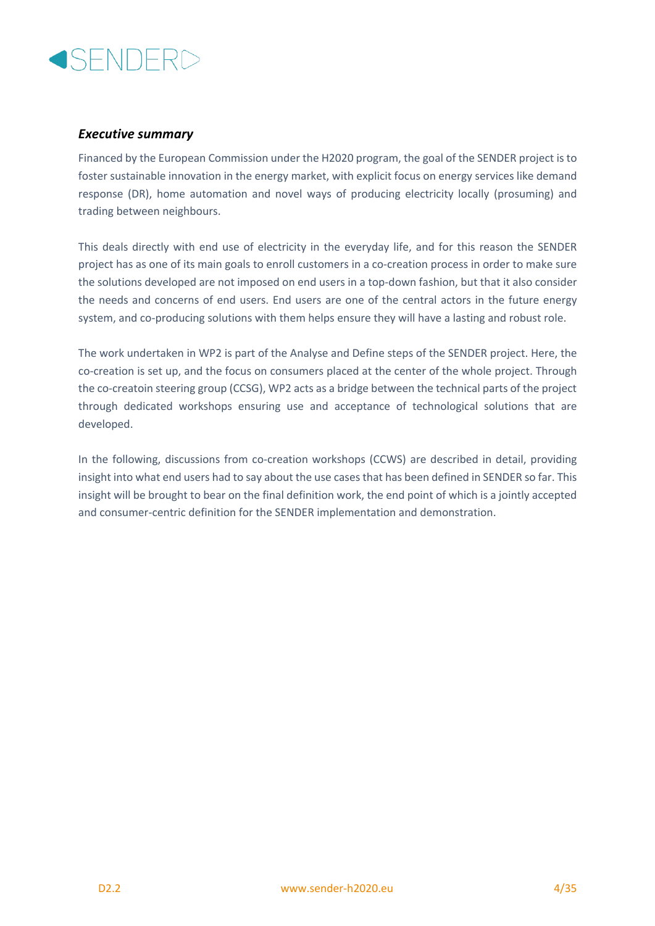

#### *Executive summary*

Financed by the European Commission under the H2020 program, the goal of the SENDER project is to foster sustainable innovation in the energy market, with explicit focus on energy services like demand response (DR), home automation and novel ways of producing electricity locally (prosuming) and trading between neighbours.

This deals directly with end use of electricity in the everyday life, and for this reason the SENDER project has as one of its main goals to enroll customers in a co-creation process in order to make sure the solutions developed are not imposed on end users in a top-down fashion, but that it also consider the needs and concerns of end users. End users are one of the central actors in the future energy system, and co-producing solutions with them helps ensure they will have a lasting and robust role.

The work undertaken in WP2 is part of the Analyse and Define steps of the SENDER project. Here, the co-creation is set up, and the focus on consumers placed at the center of the whole project. Through the co-creatoin steering group (CCSG), WP2 acts as a bridge between the technical parts of the project through dedicated workshops ensuring use and acceptance of technological solutions that are developed.

In the following, discussions from co-creation workshops (CCWS) are described in detail, providing insight into what end users had to say about the use cases that has been defined in SENDER so far. This insight will be brought to bear on the final definition work, the end point of which is a jointly accepted and consumer-centric definition for the SENDER implementation and demonstration.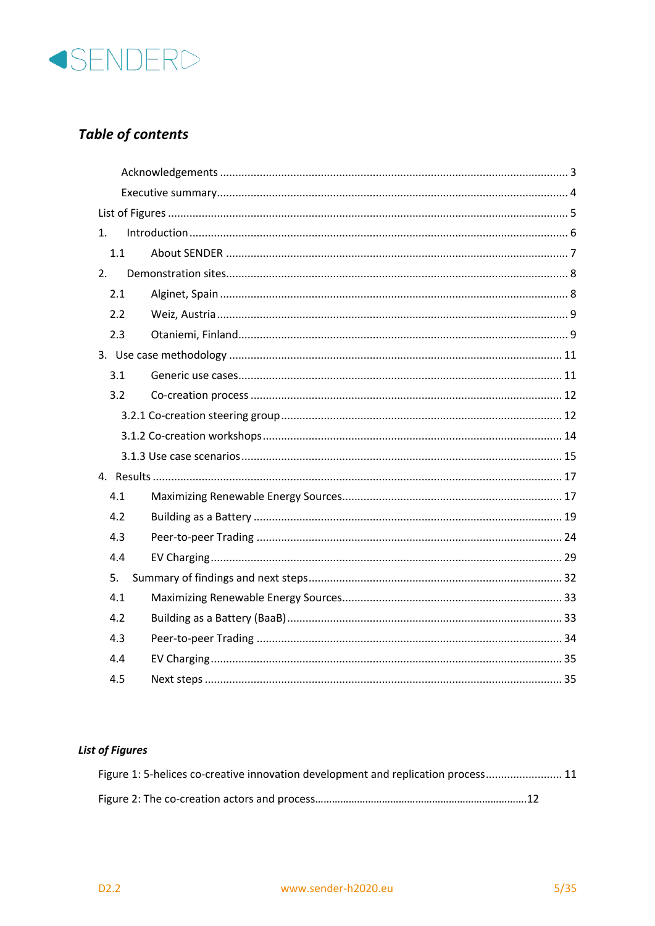

# **Table of contents**

| 1.  |  |  |  |
|-----|--|--|--|
| 1.1 |  |  |  |
| 2.  |  |  |  |
| 2.1 |  |  |  |
| 2.2 |  |  |  |
| 2.3 |  |  |  |
|     |  |  |  |
| 3.1 |  |  |  |
| 3.2 |  |  |  |
|     |  |  |  |
|     |  |  |  |
|     |  |  |  |
|     |  |  |  |
|     |  |  |  |
| 4.1 |  |  |  |
| 4.2 |  |  |  |
| 4.3 |  |  |  |
| 4.4 |  |  |  |
| 5.  |  |  |  |
| 4.1 |  |  |  |
| 4.2 |  |  |  |
| 4.3 |  |  |  |
| 4.4 |  |  |  |

#### **List of Figures**

| Figure 1: 5-helices co-creative innovation development and replication process 11 |  |
|-----------------------------------------------------------------------------------|--|
|                                                                                   |  |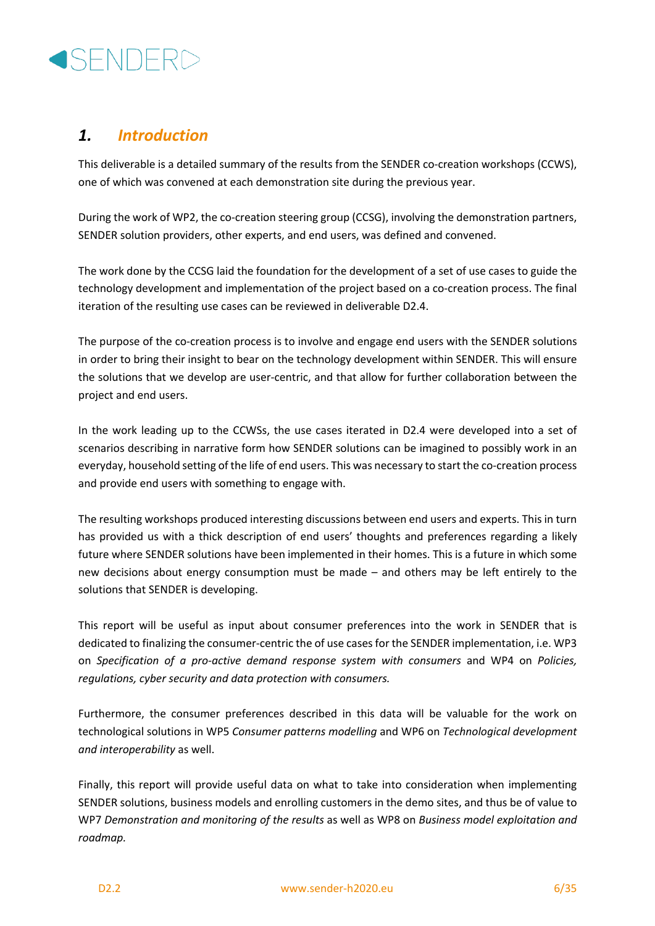# **ISENDERD**

## *1. Introduction*

This deliverable is a detailed summary of the results from the SENDER co-creation workshops (CCWS), one of which was convened at each demonstration site during the previous year.

During the work of WP2, the co-creation steering group (CCSG), involving the demonstration partners, SENDER solution providers, other experts, and end users, was defined and convened.

The work done by the CCSG laid the foundation for the development of a set of use cases to guide the technology development and implementation of the project based on a co-creation process. The final iteration of the resulting use cases can be reviewed in deliverable D2.4.

The purpose of the co-creation process is to involve and engage end users with the SENDER solutions in order to bring their insight to bear on the technology development within SENDER. This will ensure the solutions that we develop are user-centric, and that allow for further collaboration between the project and end users.

In the work leading up to the CCWSs, the use cases iterated in D2.4 were developed into a set of scenarios describing in narrative form how SENDER solutions can be imagined to possibly work in an everyday, household setting of the life of end users. This was necessary to start the co-creation process and provide end users with something to engage with.

The resulting workshops produced interesting discussions between end users and experts. This in turn has provided us with a thick description of end users' thoughts and preferences regarding a likely future where SENDER solutions have been implemented in their homes. This is a future in which some new decisions about energy consumption must be made – and others may be left entirely to the solutions that SENDER is developing.

This report will be useful as input about consumer preferences into the work in SENDER that is dedicated to finalizing the consumer-centric the of use cases for the SENDER implementation, i.e. WP3 on *Specification of a pro-active demand response system with consumers* and WP4 on *Policies, regulations, cyber security and data protection with consumers.*

Furthermore, the consumer preferences described in this data will be valuable for the work on technological solutions in WP5 *Consumer patterns modelling* and WP6 on *Technological development and interoperability* as well.

Finally, this report will provide useful data on what to take into consideration when implementing SENDER solutions, business models and enrolling customers in the demo sites, and thus be of value to WP7 *Demonstration and monitoring of the results* as well as WP8 on *Business model exploitation and roadmap.*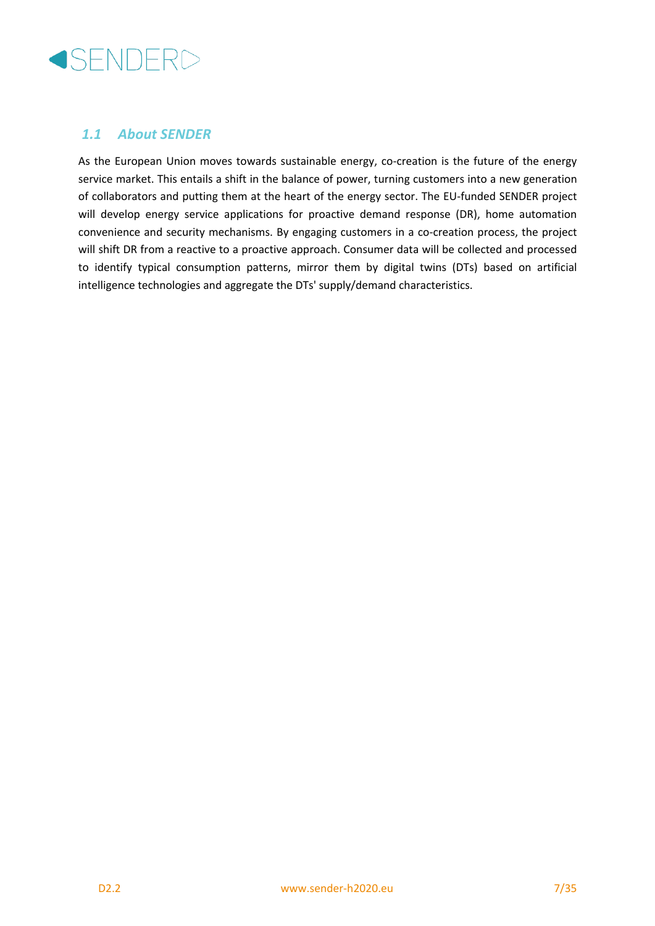

#### *1.1 About SENDER*

As the European Union moves towards sustainable energy, co-creation is the future of the energy service market. This entails a shift in the balance of power, turning customers into a new generation of collaborators and putting them at the heart of the energy sector. The EU-funded SENDER project will develop energy service applications for proactive demand response (DR), home automation convenience and security mechanisms. By engaging customers in a co-creation process, the project will shift DR from a reactive to a proactive approach. Consumer data will be collected and processed to identify typical consumption patterns, mirror them by digital twins (DTs) based on artificial intelligence technologies and aggregate the DTs' supply/demand characteristics.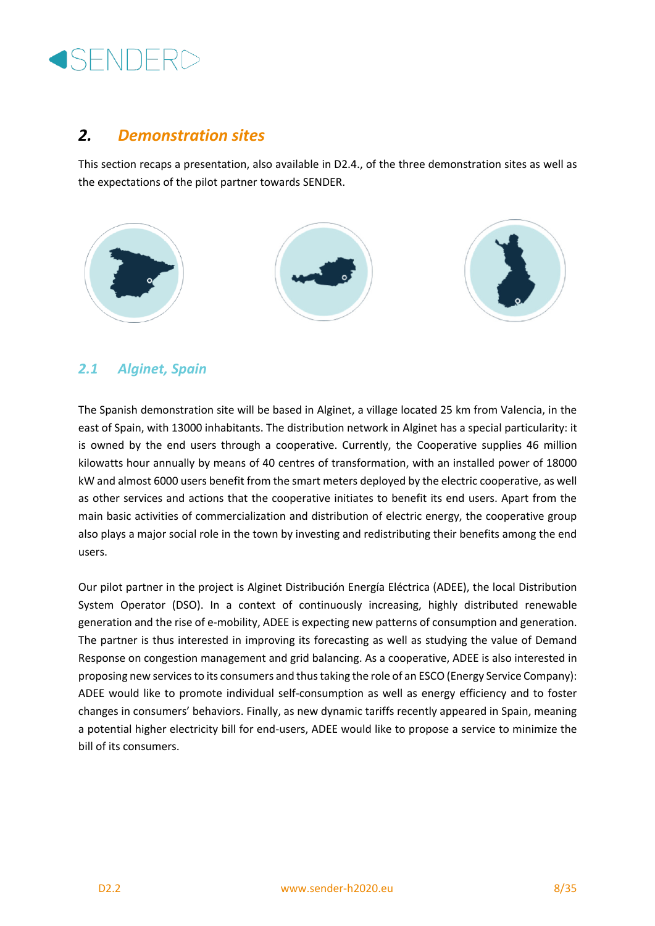# **SENDERD**

### *2. Demonstration sites*

This section recaps a presentation, also available in D2.4., of the three demonstration sites as well as the expectations of the pilot partner towards SENDER.



### *2.1 Alginet, Spain*

The Spanish demonstration site will be based in Alginet, a village located 25 km from Valencia, in the east of Spain, with 13000 inhabitants. The distribution network in Alginet has a special particularity: it is owned by the end users through a cooperative. Currently, the Cooperative supplies 46 million kilowatts hour annually by means of 40 centres of transformation, with an installed power of 18000 kW and almost 6000 users benefit from the smart meters deployed by the electric cooperative, as well as other services and actions that the cooperative initiates to benefit its end users. Apart from the main basic activities of commercialization and distribution of electric energy, the cooperative group also plays a major social role in the town by investing and redistributing their benefits among the end users.

Our pilot partner in the project is Alginet Distribución Energía Eléctrica (ADEE), the local Distribution System Operator (DSO). In a context of continuously increasing, highly distributed renewable generation and the rise of e-mobility, ADEE is expecting new patterns of consumption and generation. The partner is thus interested in improving its forecasting as well as studying the value of Demand Response on congestion management and grid balancing. As a cooperative, ADEE is also interested in proposing new services to its consumers and thus taking the role of an ESCO (Energy Service Company): ADEE would like to promote individual self-consumption as well as energy efficiency and to foster changes in consumers' behaviors. Finally, as new dynamic tariffs recently appeared in Spain, meaning a potential higher electricity bill for end-users, ADEE would like to propose a service to minimize the bill of its consumers.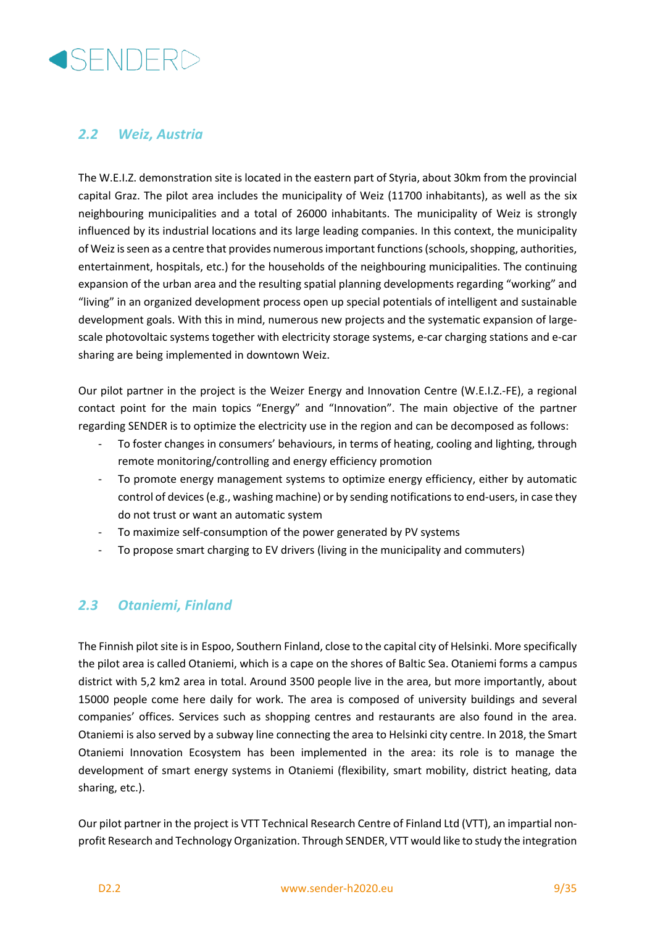

#### *2.2 Weiz, Austria*

The W.E.I.Z. demonstration site is located in the eastern part of Styria, about 30km from the provincial capital Graz. The pilot area includes the municipality of Weiz (11700 inhabitants), as well as the six neighbouring municipalities and a total of 26000 inhabitants. The municipality of Weiz is strongly influenced by its industrial locations and its large leading companies. In this context, the municipality of Weiz is seen as a centre that provides numerous important functions (schools, shopping, authorities, entertainment, hospitals, etc.) for the households of the neighbouring municipalities. The continuing expansion of the urban area and the resulting spatial planning developments regarding "working" and "living" in an organized development process open up special potentials of intelligent and sustainable development goals. With this in mind, numerous new projects and the systematic expansion of largescale photovoltaic systems together with electricity storage systems, e-car charging stations and e-car sharing are being implemented in downtown Weiz.

Our pilot partner in the project is the Weizer Energy and Innovation Centre (W.E.I.Z.-FE), a regional contact point for the main topics "Energy" and "Innovation". The main objective of the partner regarding SENDER is to optimize the electricity use in the region and can be decomposed as follows:

- To foster changes in consumers' behaviours, in terms of heating, cooling and lighting, through remote monitoring/controlling and energy efficiency promotion
- To promote energy management systems to optimize energy efficiency, either by automatic control of devices (e.g., washing machine) or by sending notifications to end-users, in case they do not trust or want an automatic system
- To maximize self-consumption of the power generated by PV systems
- To propose smart charging to EV drivers (living in the municipality and commuters)

#### *2.3 Otaniemi, Finland*

The Finnish pilot site is in Espoo, Southern Finland, close to the capital city of Helsinki. More specifically the pilot area is called Otaniemi, which is a cape on the shores of Baltic Sea. Otaniemi forms a campus district with 5,2 km2 area in total. Around 3500 people live in the area, but more importantly, about 15000 people come here daily for work. The area is composed of university buildings and several companies' offices. Services such as shopping centres and restaurants are also found in the area. Otaniemi is also served by a subway line connecting the area to Helsinki city centre. In 2018, the Smart Otaniemi Innovation Ecosystem has been implemented in the area: its role is to manage the development of smart energy systems in Otaniemi (flexibility, smart mobility, district heating, data sharing, etc.).

Our pilot partner in the project is VTT Technical Research Centre of Finland Ltd (VTT), an impartial nonprofit Research and Technology Organization. Through SENDER, VTT would like to study the integration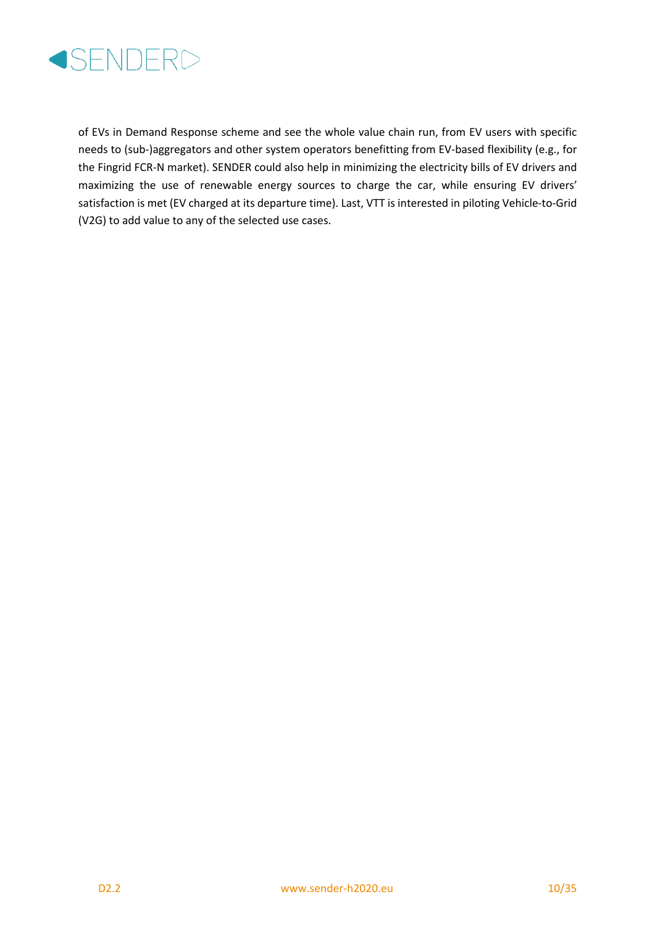

of EVs in Demand Response scheme and see the whole value chain run, from EV users with specific needs to (sub-)aggregators and other system operators benefitting from EV-based flexibility (e.g., for the Fingrid FCR-N market). SENDER could also help in minimizing the electricity bills of EV drivers and maximizing the use of renewable energy sources to charge the car, while ensuring EV drivers' satisfaction is met (EV charged at its departure time). Last, VTT is interested in piloting Vehicle-to-Grid (V2G) to add value to any of the selected use cases.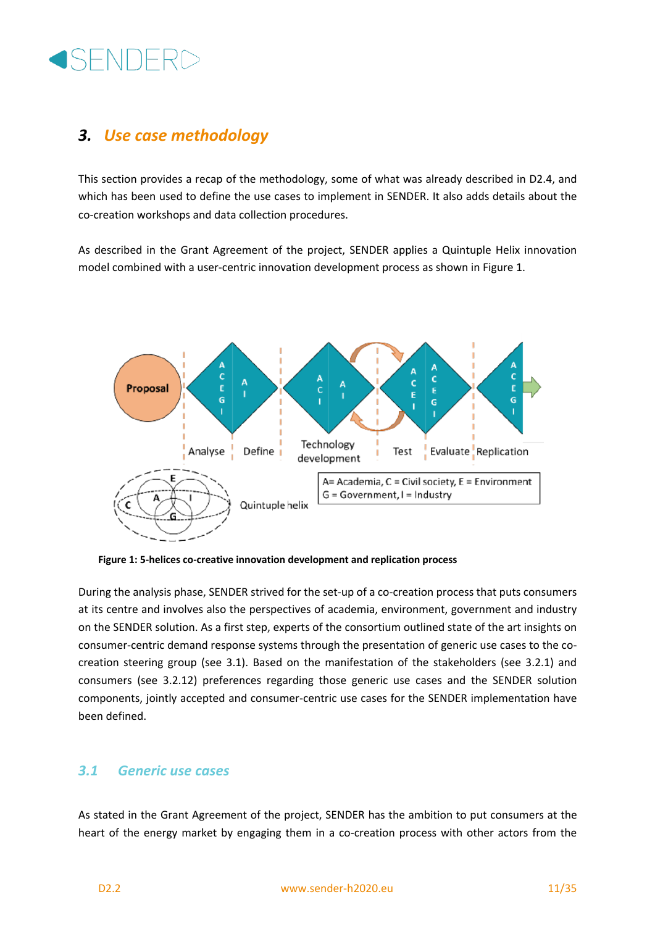

## *3. Use case methodology*

This section provides a recap of the methodology, some of what was already described in D2.4, and which has been used to define the use cases to implement in SENDER. It also adds details about the co-creation workshops and data collection procedures.

As described in the Grant Agreement of the project, SENDER applies a Quintuple Helix innovation model combined with a user-centric innovation development process as shown in Figure 1.



**Figure 1: 5-helices co-creative innovation development and replication process**

During the analysis phase, SENDER strived for the set-up of a co-creation process that puts consumers at its centre and involves also the perspectives of academia, environment, government and industry on the SENDER solution. As a first step, experts of the consortium outlined state of the art insights on consumer-centric demand response systems through the presentation of generic use cases to the cocreation steering group (see 3.1). Based on the manifestation of the stakeholders (see 3.2.1) and consumers (see 3.2.12) preferences regarding those generic use cases and the SENDER solution components, jointly accepted and consumer-centric use cases for the SENDER implementation have been defined.

#### *3.1 Generic use cases*

As stated in the Grant Agreement of the project, SENDER has the ambition to put consumers at the heart of the energy market by engaging them in a co-creation process with other actors from the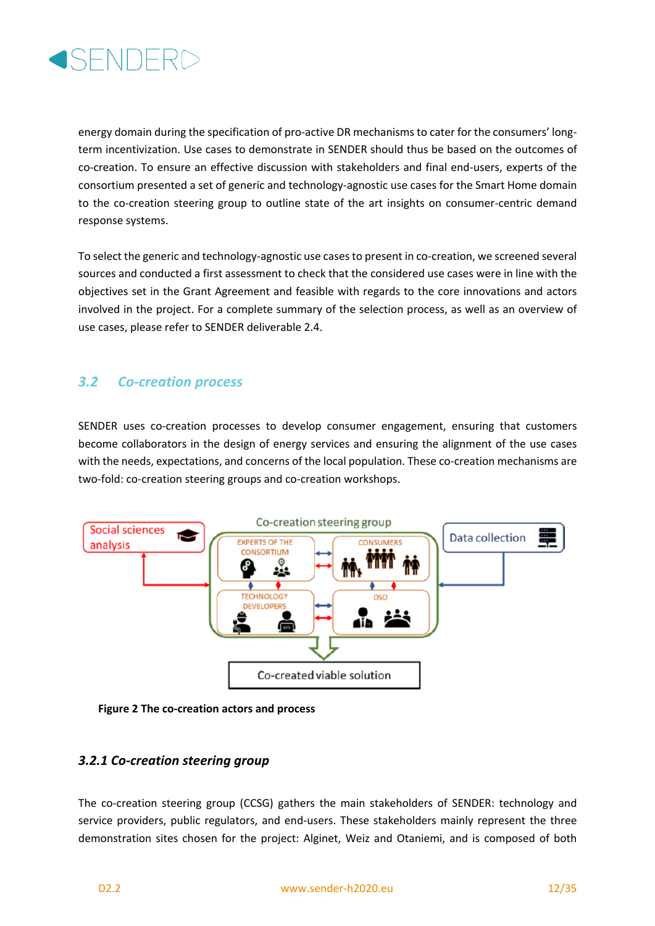

energy domain during the specification of pro-active DR mechanisms to cater for the consumers' longterm incentivization. Use cases to demonstrate in SENDER should thus be based on the outcomes of co-creation. To ensure an effective discussion with stakeholders and final end-users, experts of the consortium presented a set of generic and technology-agnostic use cases for the Smart Home domain to the co-creation steering group to outline state of the art insights on consumer-centric demand response systems.

To select the generic and technology-agnostic use cases to present in co-creation, we screened several sources and conducted a first assessment to check that the considered use cases were in line with the objectives set in the Grant Agreement and feasible with regards to the core innovations and actors involved in the project. For a complete summary of the selection process, as well as an overview of use cases, please refer to SENDER deliverable 2.4.

#### *3.2 Co-creation process*

SENDER uses co-creation processes to develop consumer engagement, ensuring that customers become collaborators in the design of energy services and ensuring the alignment of the use cases with the needs, expectations, and concerns of the local population. These co-creation mechanisms are two-fold: co-creation steering groups and co-creation workshops.



**Figure 2 The co-creation actors and process**

#### *3.2.1 Co-creation steering group*

The co-creation steering group (CCSG) gathers the main stakeholders of SENDER: technology and service providers, public regulators, and end-users. These stakeholders mainly represent the three demonstration sites chosen for the project: Alginet, Weiz and Otaniemi, and is composed of both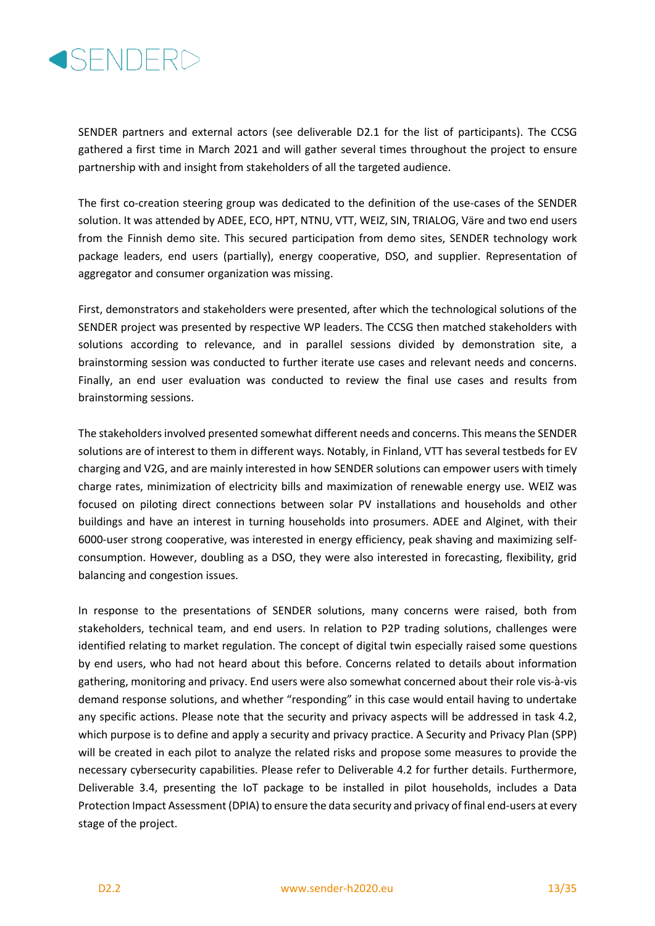

SENDER partners and external actors (see deliverable D2.1 for the list of participants). The CCSG gathered a first time in March 2021 and will gather several times throughout the project to ensure partnership with and insight from stakeholders of all the targeted audience.

The first co-creation steering group was dedicated to the definition of the use-cases of the SENDER solution. It was attended by ADEE, ECO, HPT, NTNU, VTT, WEIZ, SIN, TRIALOG, Väre and two end users from the Finnish demo site. This secured participation from demo sites, SENDER technology work package leaders, end users (partially), energy cooperative, DSO, and supplier. Representation of aggregator and consumer organization was missing.

First, demonstrators and stakeholders were presented, after which the technological solutions of the SENDER project was presented by respective WP leaders. The CCSG then matched stakeholders with solutions according to relevance, and in parallel sessions divided by demonstration site, a brainstorming session was conducted to further iterate use cases and relevant needs and concerns. Finally, an end user evaluation was conducted to review the final use cases and results from brainstorming sessions.

The stakeholders involved presented somewhat different needs and concerns. This means the SENDER solutions are of interest to them in different ways. Notably, in Finland, VTT has several testbeds for EV charging and V2G, and are mainly interested in how SENDER solutions can empower users with timely charge rates, minimization of electricity bills and maximization of renewable energy use. WEIZ was focused on piloting direct connections between solar PV installations and households and other buildings and have an interest in turning households into prosumers. ADEE and Alginet, with their 6000-user strong cooperative, was interested in energy efficiency, peak shaving and maximizing selfconsumption. However, doubling as a DSO, they were also interested in forecasting, flexibility, grid balancing and congestion issues.

In response to the presentations of SENDER solutions, many concerns were raised, both from stakeholders, technical team, and end users. In relation to P2P trading solutions, challenges were identified relating to market regulation. The concept of digital twin especially raised some questions by end users, who had not heard about this before. Concerns related to details about information gathering, monitoring and privacy. End users were also somewhat concerned about their role vis-à-vis demand response solutions, and whether "responding" in this case would entail having to undertake any specific actions. Please note that the security and privacy aspects will be addressed in task 4.2, which purpose is to define and apply a security and privacy practice. A Security and Privacy Plan (SPP) will be created in each pilot to analyze the related risks and propose some measures to provide the necessary cybersecurity capabilities. Please refer to Deliverable 4.2 for further details. Furthermore, Deliverable 3.4, presenting the IoT package to be installed in pilot households, includes a Data Protection Impact Assessment (DPIA) to ensure the data security and privacy of final end-users at every stage of the project.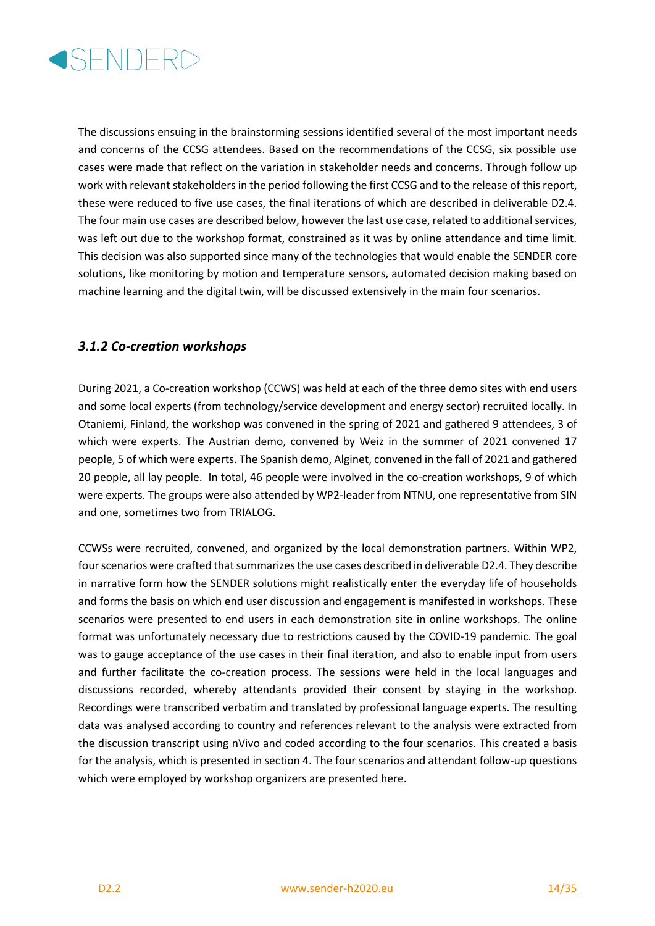

The discussions ensuing in the brainstorming sessions identified several of the most important needs and concerns of the CCSG attendees. Based on the recommendations of the CCSG, six possible use cases were made that reflect on the variation in stakeholder needs and concerns. Through follow up work with relevant stakeholders in the period following the first CCSG and to the release of this report, these were reduced to five use cases, the final iterations of which are described in deliverable D2.4. The four main use cases are described below, however the last use case, related to additional services, was left out due to the workshop format, constrained as it was by online attendance and time limit. This decision was also supported since many of the technologies that would enable the SENDER core solutions, like monitoring by motion and temperature sensors, automated decision making based on machine learning and the digital twin, will be discussed extensively in the main four scenarios.

#### *3.1.2 Co-creation workshops*

During 2021, a Co-creation workshop (CCWS) was held at each of the three demo sites with end users and some local experts (from technology/service development and energy sector) recruited locally. In Otaniemi, Finland, the workshop was convened in the spring of 2021 and gathered 9 attendees, 3 of which were experts. The Austrian demo, convened by Weiz in the summer of 2021 convened 17 people, 5 of which were experts. The Spanish demo, Alginet, convened in the fall of 2021 and gathered 20 people, all lay people. In total, 46 people were involved in the co-creation workshops, 9 of which were experts. The groups were also attended by WP2-leader from NTNU, one representative from SIN and one, sometimes two from TRIALOG.

CCWSs were recruited, convened, and organized by the local demonstration partners. Within WP2, four scenarios were crafted that summarizes the use cases described in deliverable D2.4. They describe in narrative form how the SENDER solutions might realistically enter the everyday life of households and forms the basis on which end user discussion and engagement is manifested in workshops. These scenarios were presented to end users in each demonstration site in online workshops. The online format was unfortunately necessary due to restrictions caused by the COVID-19 pandemic. The goal was to gauge acceptance of the use cases in their final iteration, and also to enable input from users and further facilitate the co-creation process. The sessions were held in the local languages and discussions recorded, whereby attendants provided their consent by staying in the workshop. Recordings were transcribed verbatim and translated by professional language experts. The resulting data was analysed according to country and references relevant to the analysis were extracted from the discussion transcript using nVivo and coded according to the four scenarios. This created a basis for the analysis, which is presented in section 4. The four scenarios and attendant follow-up questions which were employed by workshop organizers are presented here.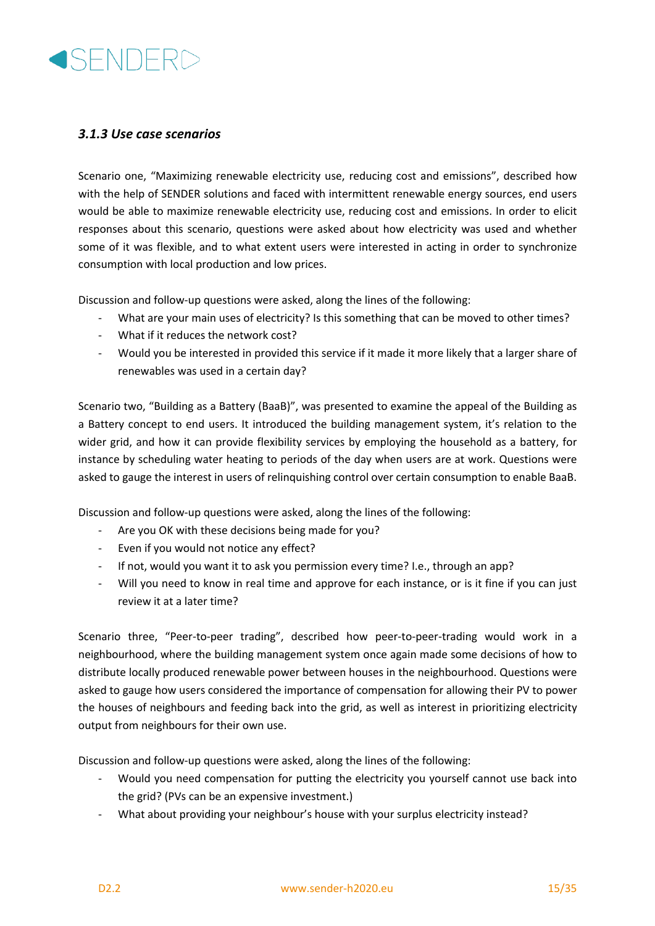

#### *3.1.3 Use case scenarios*

Scenario one, "Maximizing renewable electricity use, reducing cost and emissions", described how with the help of SENDER solutions and faced with intermittent renewable energy sources, end users would be able to maximize renewable electricity use, reducing cost and emissions. In order to elicit responses about this scenario, questions were asked about how electricity was used and whether some of it was flexible, and to what extent users were interested in acting in order to synchronize consumption with local production and low prices.

Discussion and follow-up questions were asked, along the lines of the following:

- What are your main uses of electricity? Is this something that can be moved to other times?
- What if it reduces the network cost?
- Would you be interested in provided this service if it made it more likely that a larger share of renewables was used in a certain day?

Scenario two, "Building as a Battery (BaaB)", was presented to examine the appeal of the Building as a Battery concept to end users. It introduced the building management system, it's relation to the wider grid, and how it can provide flexibility services by employing the household as a battery, for instance by scheduling water heating to periods of the day when users are at work. Questions were asked to gauge the interest in users of relinquishing control over certain consumption to enable BaaB.

Discussion and follow-up questions were asked, along the lines of the following:

- Are you OK with these decisions being made for you?
- Even if you would not notice any effect?
- If not, would you want it to ask you permission every time? I.e., through an app?
- Will you need to know in real time and approve for each instance, or is it fine if you can just review it at a later time?

Scenario three, "Peer-to-peer trading", described how peer-to-peer-trading would work in a neighbourhood, where the building management system once again made some decisions of how to distribute locally produced renewable power between houses in the neighbourhood. Questions were asked to gauge how users considered the importance of compensation for allowing their PV to power the houses of neighbours and feeding back into the grid, as well as interest in prioritizing electricity output from neighbours for their own use.

Discussion and follow-up questions were asked, along the lines of the following:

- Would you need compensation for putting the electricity you yourself cannot use back into the grid? (PVs can be an expensive investment.)
- What about providing your neighbour's house with your surplus electricity instead?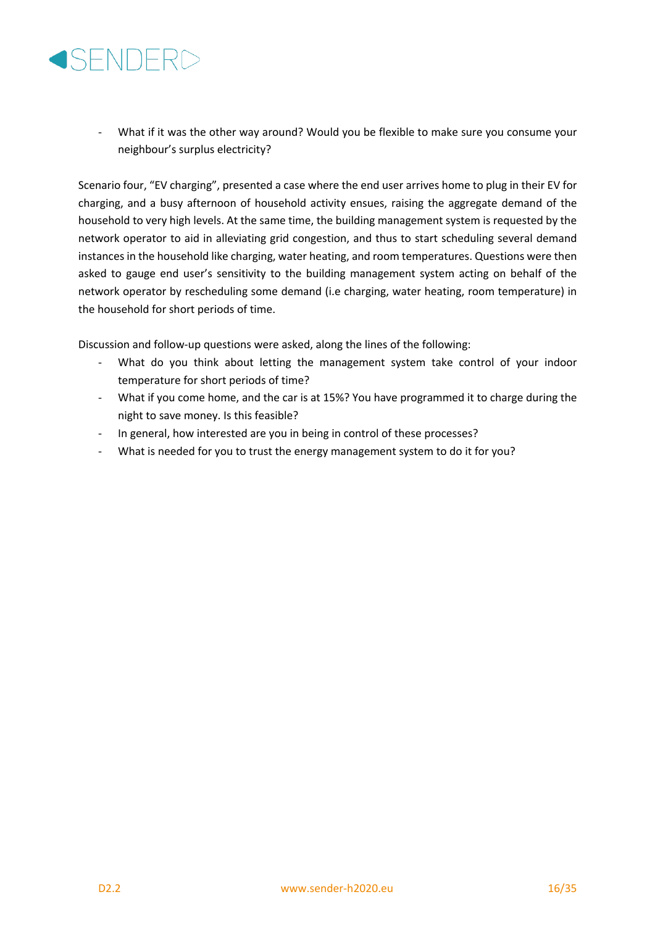

- What if it was the other way around? Would you be flexible to make sure you consume your neighbour's surplus electricity?

Scenario four, "EV charging", presented a case where the end user arrives home to plug in their EV for charging, and a busy afternoon of household activity ensues, raising the aggregate demand of the household to very high levels. At the same time, the building management system is requested by the network operator to aid in alleviating grid congestion, and thus to start scheduling several demand instances in the household like charging, water heating, and room temperatures. Questions were then asked to gauge end user's sensitivity to the building management system acting on behalf of the network operator by rescheduling some demand (i.e charging, water heating, room temperature) in the household for short periods of time.

Discussion and follow-up questions were asked, along the lines of the following:

- What do you think about letting the management system take control of your indoor temperature for short periods of time?
- What if you come home, and the car is at 15%? You have programmed it to charge during the night to save money. Is this feasible?
- In general, how interested are you in being in control of these processes?
- What is needed for you to trust the energy management system to do it for you?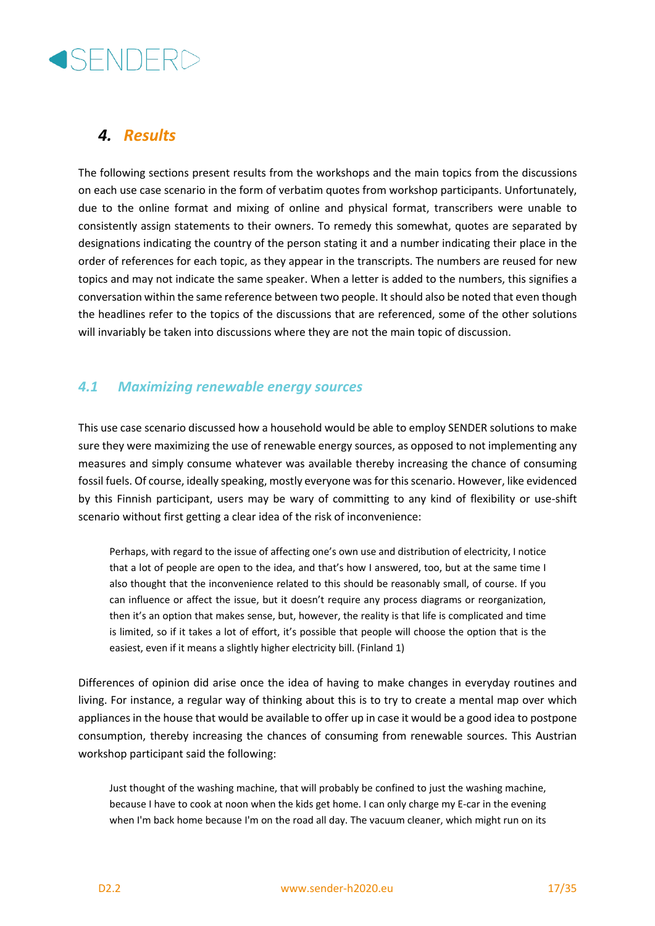

## *4. Results*

The following sections present results from the workshops and the main topics from the discussions on each use case scenario in the form of verbatim quotes from workshop participants. Unfortunately, due to the online format and mixing of online and physical format, transcribers were unable to consistently assign statements to their owners. To remedy this somewhat, quotes are separated by designations indicating the country of the person stating it and a number indicating their place in the order of references for each topic, as they appear in the transcripts. The numbers are reused for new topics and may not indicate the same speaker. When a letter is added to the numbers, this signifies a conversation within the same reference between two people. It should also be noted that even though the headlines refer to the topics of the discussions that are referenced, some of the other solutions will invariably be taken into discussions where they are not the main topic of discussion.

#### *4.1 Maximizing renewable energy sources*

This use case scenario discussed how a household would be able to employ SENDER solutions to make sure they were maximizing the use of renewable energy sources, as opposed to not implementing any measures and simply consume whatever was available thereby increasing the chance of consuming fossil fuels. Of course, ideally speaking, mostly everyone was for this scenario. However, like evidenced by this Finnish participant, users may be wary of committing to any kind of flexibility or use-shift scenario without first getting a clear idea of the risk of inconvenience:

Perhaps, with regard to the issue of affecting one's own use and distribution of electricity, I notice that a lot of people are open to the idea, and that's how I answered, too, but at the same time I also thought that the inconvenience related to this should be reasonably small, of course. If you can influence or affect the issue, but it doesn't require any process diagrams or reorganization, then it's an option that makes sense, but, however, the reality is that life is complicated and time is limited, so if it takes a lot of effort, it's possible that people will choose the option that is the easiest, even if it means a slightly higher electricity bill. (Finland 1)

Differences of opinion did arise once the idea of having to make changes in everyday routines and living. For instance, a regular way of thinking about this is to try to create a mental map over which appliances in the house that would be available to offer up in case it would be a good idea to postpone consumption, thereby increasing the chances of consuming from renewable sources. This Austrian workshop participant said the following:

Just thought of the washing machine, that will probably be confined to just the washing machine, because I have to cook at noon when the kids get home. I can only charge my E-car in the evening when I'm back home because I'm on the road all day. The vacuum cleaner, which might run on its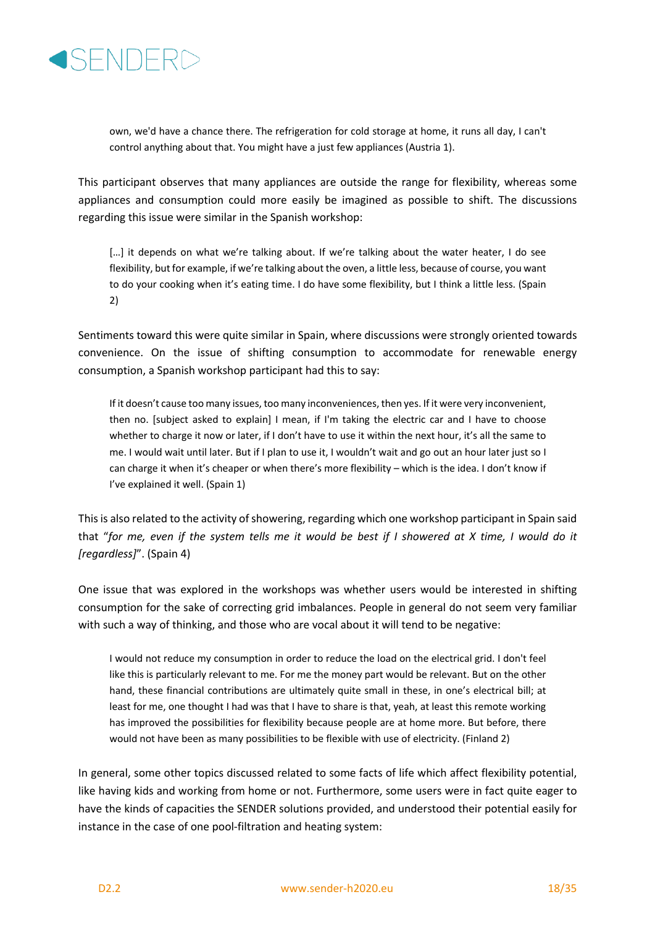

own, we'd have a chance there. The refrigeration for cold storage at home, it runs all day, I can't control anything about that. You might have a just few appliances (Austria 1).

This participant observes that many appliances are outside the range for flexibility, whereas some appliances and consumption could more easily be imagined as possible to shift. The discussions regarding this issue were similar in the Spanish workshop:

[...] it depends on what we're talking about. If we're talking about the water heater, I do see flexibility, but for example, if we're talking about the oven, a little less, because of course, you want to do your cooking when it's eating time. I do have some flexibility, but I think a little less. (Spain 2)

Sentiments toward this were quite similar in Spain, where discussions were strongly oriented towards convenience. On the issue of shifting consumption to accommodate for renewable energy consumption, a Spanish workshop participant had this to say:

If it doesn't cause too many issues, too many inconveniences, then yes. If it were very inconvenient, then no. [subject asked to explain] I mean, if I'm taking the electric car and I have to choose whether to charge it now or later, if I don't have to use it within the next hour, it's all the same to me. I would wait until later. But if I plan to use it, I wouldn't wait and go out an hour later just so I can charge it when it's cheaper or when there's more flexibility – which is the idea. I don't know if I've explained it well. (Spain 1)

This is also related to the activity of showering, regarding which one workshop participant in Spain said that "*for me, even if the system tells me it would be best if I showered at X time, I would do it [regardless]*". (Spain 4)

One issue that was explored in the workshops was whether users would be interested in shifting consumption for the sake of correcting grid imbalances. People in general do not seem very familiar with such a way of thinking, and those who are vocal about it will tend to be negative:

I would not reduce my consumption in order to reduce the load on the electrical grid. I don't feel like this is particularly relevant to me. For me the money part would be relevant. But on the other hand, these financial contributions are ultimately quite small in these, in one's electrical bill; at least for me, one thought I had was that I have to share is that, yeah, at least this remote working has improved the possibilities for flexibility because people are at home more. But before, there would not have been as many possibilities to be flexible with use of electricity. (Finland 2)

In general, some other topics discussed related to some facts of life which affect flexibility potential, like having kids and working from home or not. Furthermore, some users were in fact quite eager to have the kinds of capacities the SENDER solutions provided, and understood their potential easily for instance in the case of one pool-filtration and heating system: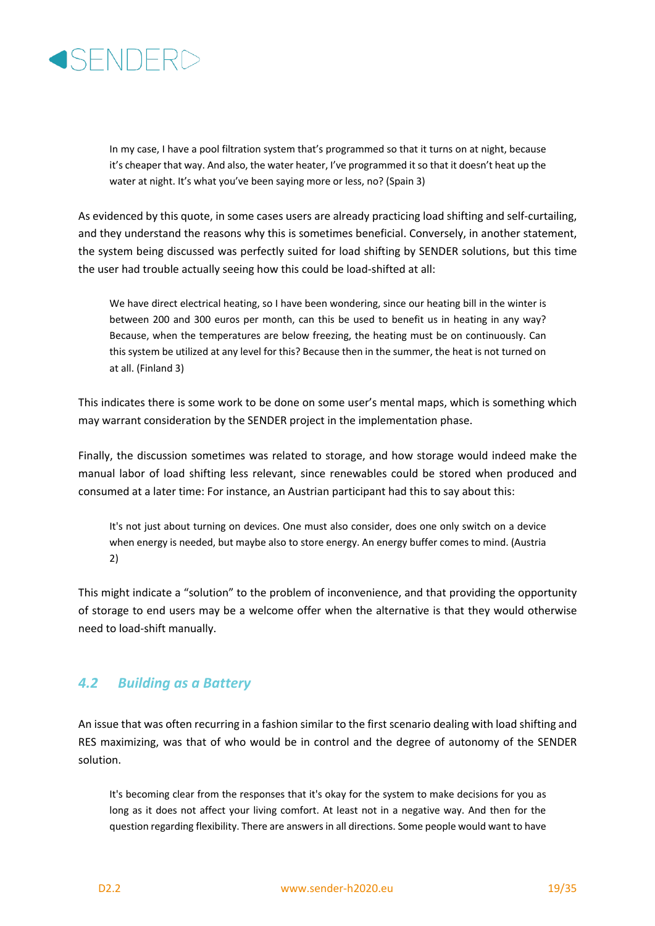

In my case, I have a pool filtration system that's programmed so that it turns on at night, because it's cheaper that way. And also, the water heater, I've programmed it so that it doesn't heat up the water at night. It's what you've been saying more or less, no? (Spain 3)

As evidenced by this quote, in some cases users are already practicing load shifting and self-curtailing, and they understand the reasons why this is sometimes beneficial. Conversely, in another statement, the system being discussed was perfectly suited for load shifting by SENDER solutions, but this time the user had trouble actually seeing how this could be load-shifted at all:

We have direct electrical heating, so I have been wondering, since our heating bill in the winter is between 200 and 300 euros per month, can this be used to benefit us in heating in any way? Because, when the temperatures are below freezing, the heating must be on continuously. Can this system be utilized at any level for this? Because then in the summer, the heat is not turned on at all. (Finland 3)

This indicates there is some work to be done on some user's mental maps, which is something which may warrant consideration by the SENDER project in the implementation phase.

Finally, the discussion sometimes was related to storage, and how storage would indeed make the manual labor of load shifting less relevant, since renewables could be stored when produced and consumed at a later time: For instance, an Austrian participant had this to say about this:

It's not just about turning on devices. One must also consider, does one only switch on a device when energy is needed, but maybe also to store energy. An energy buffer comes to mind. (Austria 2)

This might indicate a "solution" to the problem of inconvenience, and that providing the opportunity of storage to end users may be a welcome offer when the alternative is that they would otherwise need to load-shift manually.

#### *4.2 Building as a Battery*

An issue that was often recurring in a fashion similar to the first scenario dealing with load shifting and RES maximizing, was that of who would be in control and the degree of autonomy of the SENDER solution.

It's becoming clear from the responses that it's okay for the system to make decisions for you as long as it does not affect your living comfort. At least not in a negative way. And then for the question regarding flexibility. There are answers in all directions. Some people would want to have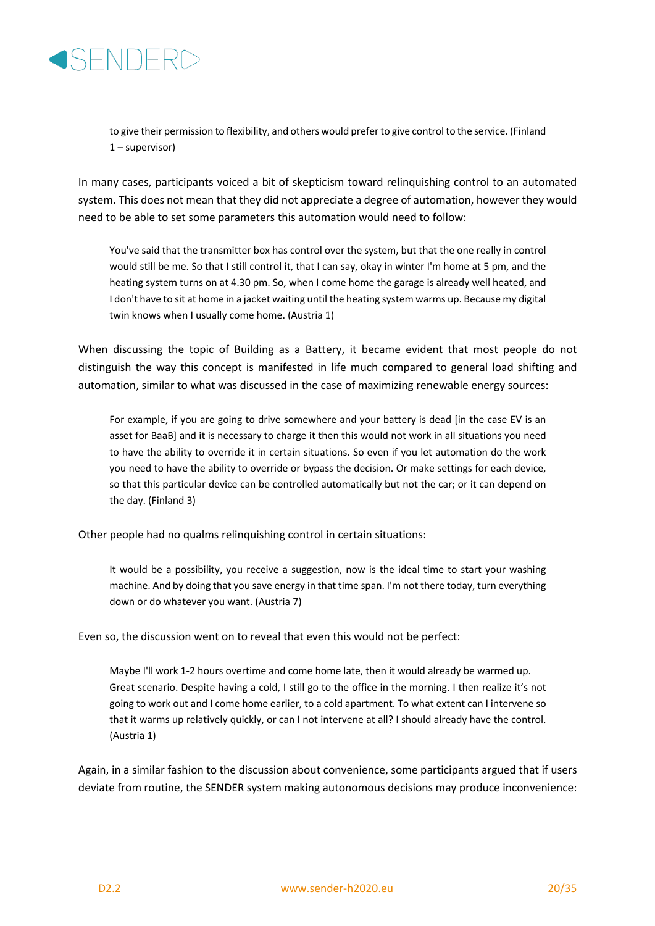

to give their permission to flexibility, and others would prefer to give control to the service. (Finland 1 – supervisor)

In many cases, participants voiced a bit of skepticism toward relinquishing control to an automated system. This does not mean that they did not appreciate a degree of automation, however they would need to be able to set some parameters this automation would need to follow:

You've said that the transmitter box has control over the system, but that the one really in control would still be me. So that I still control it, that I can say, okay in winter I'm home at 5 pm, and the heating system turns on at 4.30 pm. So, when I come home the garage is already well heated, and I don't have to sit at home in a jacket waiting until the heating system warms up. Because my digital twin knows when I usually come home. (Austria 1)

When discussing the topic of Building as a Battery, it became evident that most people do not distinguish the way this concept is manifested in life much compared to general load shifting and automation, similar to what was discussed in the case of maximizing renewable energy sources:

For example, if you are going to drive somewhere and your battery is dead [in the case EV is an asset for BaaB] and it is necessary to charge it then this would not work in all situations you need to have the ability to override it in certain situations. So even if you let automation do the work you need to have the ability to override or bypass the decision. Or make settings for each device, so that this particular device can be controlled automatically but not the car; or it can depend on the day. (Finland 3)

Other people had no qualms relinquishing control in certain situations:

It would be a possibility, you receive a suggestion, now is the ideal time to start your washing machine. And by doing that you save energy in that time span. I'm not there today, turn everything down or do whatever you want. (Austria 7)

Even so, the discussion went on to reveal that even this would not be perfect:

Maybe I'll work 1-2 hours overtime and come home late, then it would already be warmed up. Great scenario. Despite having a cold, I still go to the office in the morning. I then realize it's not going to work out and I come home earlier, to a cold apartment. To what extent can I intervene so that it warms up relatively quickly, or can I not intervene at all? I should already have the control. (Austria 1)

Again, in a similar fashion to the discussion about convenience, some participants argued that if users deviate from routine, the SENDER system making autonomous decisions may produce inconvenience: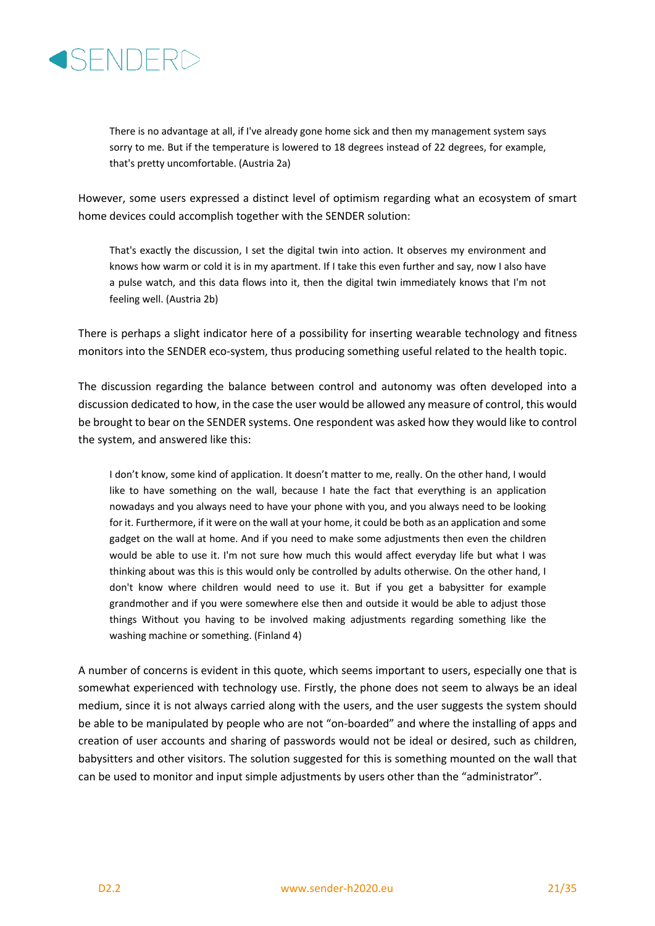

There is no advantage at all, if I've already gone home sick and then my management system says sorry to me. But if the temperature is lowered to 18 degrees instead of 22 degrees, for example, that's pretty uncomfortable. (Austria 2a)

However, some users expressed a distinct level of optimism regarding what an ecosystem of smart home devices could accomplish together with the SENDER solution:

That's exactly the discussion, I set the digital twin into action. It observes my environment and knows how warm or cold it is in my apartment. If I take this even further and say, now I also have a pulse watch, and this data flows into it, then the digital twin immediately knows that I'm not feeling well. (Austria 2b)

There is perhaps a slight indicator here of a possibility for inserting wearable technology and fitness monitors into the SENDER eco-system, thus producing something useful related to the health topic.

The discussion regarding the balance between control and autonomy was often developed into a discussion dedicated to how, in the case the user would be allowed any measure of control, this would be brought to bear on the SENDER systems. One respondent was asked how they would like to control the system, and answered like this:

I don't know, some kind of application. It doesn't matter to me, really. On the other hand, I would like to have something on the wall, because I hate the fact that everything is an application nowadays and you always need to have your phone with you, and you always need to be looking for it. Furthermore, if it were on the wall at your home, it could be both as an application and some gadget on the wall at home. And if you need to make some adjustments then even the children would be able to use it. I'm not sure how much this would affect everyday life but what I was thinking about was this is this would only be controlled by adults otherwise. On the other hand, I don't know where children would need to use it. But if you get a babysitter for example grandmother and if you were somewhere else then and outside it would be able to adjust those things Without you having to be involved making adjustments regarding something like the washing machine or something. (Finland 4)

A number of concerns is evident in this quote, which seems important to users, especially one that is somewhat experienced with technology use. Firstly, the phone does not seem to always be an ideal medium, since it is not always carried along with the users, and the user suggests the system should be able to be manipulated by people who are not "on-boarded" and where the installing of apps and creation of user accounts and sharing of passwords would not be ideal or desired, such as children, babysitters and other visitors. The solution suggested for this is something mounted on the wall that can be used to monitor and input simple adjustments by users other than the "administrator".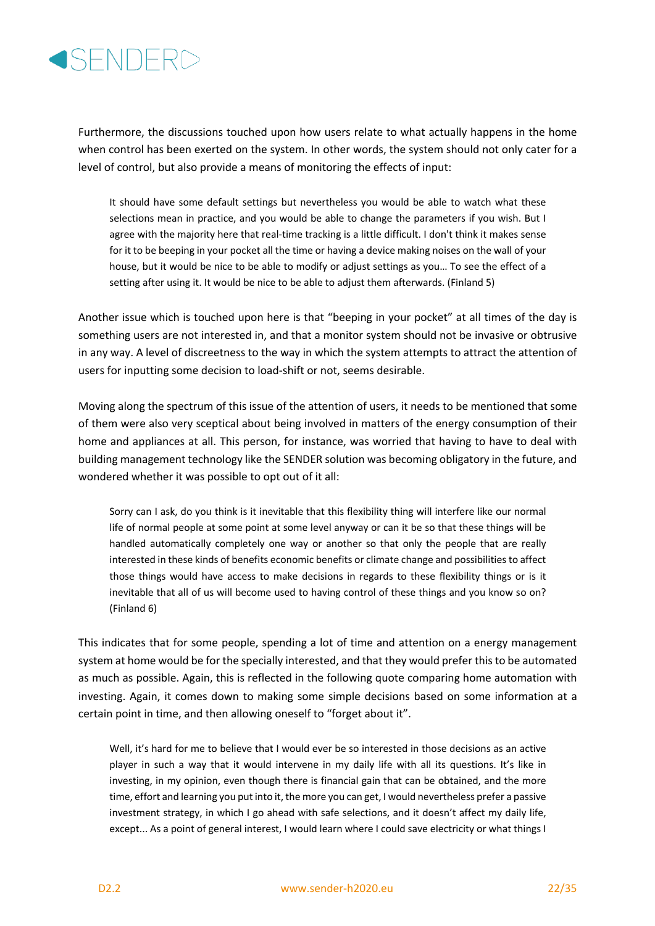

Furthermore, the discussions touched upon how users relate to what actually happens in the home when control has been exerted on the system. In other words, the system should not only cater for a level of control, but also provide a means of monitoring the effects of input:

It should have some default settings but nevertheless you would be able to watch what these selections mean in practice, and you would be able to change the parameters if you wish. But I agree with the majority here that real-time tracking is a little difficult. I don't think it makes sense for it to be beeping in your pocket all the time or having a device making noises on the wall of your house, but it would be nice to be able to modify or adjust settings as you… To see the effect of a setting after using it. It would be nice to be able to adjust them afterwards. (Finland 5)

Another issue which is touched upon here is that "beeping in your pocket" at all times of the day is something users are not interested in, and that a monitor system should not be invasive or obtrusive in any way. A level of discreetness to the way in which the system attempts to attract the attention of users for inputting some decision to load-shift or not, seems desirable.

Moving along the spectrum of this issue of the attention of users, it needs to be mentioned that some of them were also very sceptical about being involved in matters of the energy consumption of their home and appliances at all. This person, for instance, was worried that having to have to deal with building management technology like the SENDER solution was becoming obligatory in the future, and wondered whether it was possible to opt out of it all:

Sorry can I ask, do you think is it inevitable that this flexibility thing will interfere like our normal life of normal people at some point at some level anyway or can it be so that these things will be handled automatically completely one way or another so that only the people that are really interested in these kinds of benefits economic benefits or climate change and possibilities to affect those things would have access to make decisions in regards to these flexibility things or is it inevitable that all of us will become used to having control of these things and you know so on? (Finland 6)

This indicates that for some people, spending a lot of time and attention on a energy management system at home would be for the specially interested, and that they would prefer this to be automated as much as possible. Again, this is reflected in the following quote comparing home automation with investing. Again, it comes down to making some simple decisions based on some information at a certain point in time, and then allowing oneself to "forget about it".

Well, it's hard for me to believe that I would ever be so interested in those decisions as an active player in such a way that it would intervene in my daily life with all its questions. It's like in investing, in my opinion, even though there is financial gain that can be obtained, and the more time, effort and learning you put into it, the more you can get, I would nevertheless prefer a passive investment strategy, in which I go ahead with safe selections, and it doesn't affect my daily life, except... As a point of general interest, I would learn where I could save electricity or what things I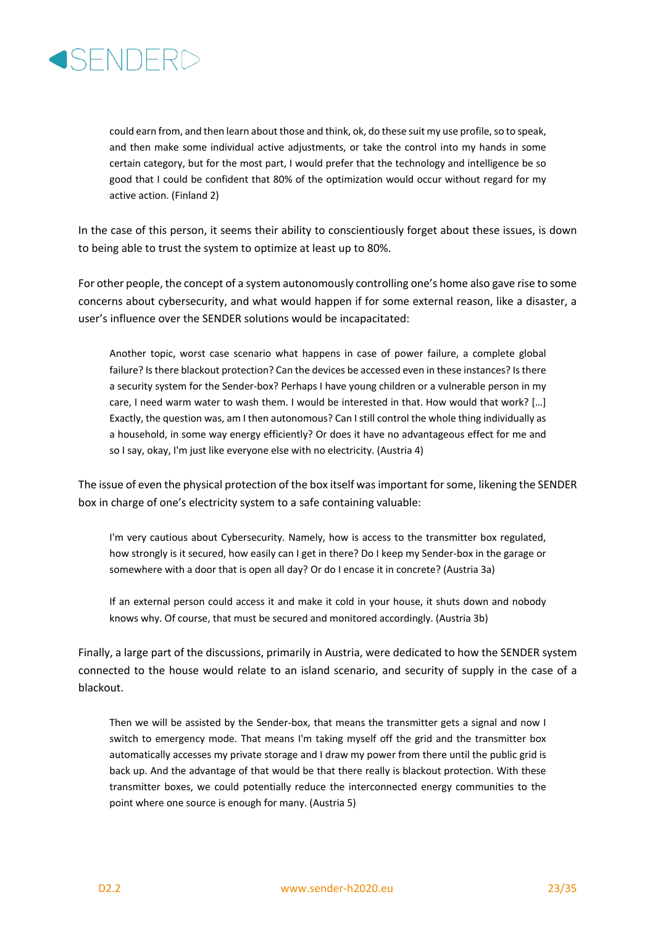

could earn from, and then learn about those and think, ok, do these suit my use profile, so to speak, and then make some individual active adjustments, or take the control into my hands in some certain category, but for the most part, I would prefer that the technology and intelligence be so good that I could be confident that 80% of the optimization would occur without regard for my active action. (Finland 2)

In the case of this person, it seems their ability to conscientiously forget about these issues, is down to being able to trust the system to optimize at least up to 80%.

For other people, the concept of a system autonomously controlling one's home also gave rise to some concerns about cybersecurity, and what would happen if for some external reason, like a disaster, a user's influence over the SENDER solutions would be incapacitated:

Another topic, worst case scenario what happens in case of power failure, a complete global failure? Isthere blackout protection? Can the devices be accessed even in these instances? Is there a security system for the Sender-box? Perhaps I have young children or a vulnerable person in my care, I need warm water to wash them. I would be interested in that. How would that work? […] Exactly, the question was, am I then autonomous? Can I still control the whole thing individually as a household, in some way energy efficiently? Or does it have no advantageous effect for me and so I say, okay, I'm just like everyone else with no electricity. (Austria 4)

The issue of even the physical protection of the box itself was important for some, likening the SENDER box in charge of one's electricity system to a safe containing valuable:

I'm very cautious about Cybersecurity. Namely, how is access to the transmitter box regulated, how strongly is it secured, how easily can I get in there? Do I keep my Sender-box in the garage or somewhere with a door that is open all day? Or do I encase it in concrete? (Austria 3a)

If an external person could access it and make it cold in your house, it shuts down and nobody knows why. Of course, that must be secured and monitored accordingly. (Austria 3b)

Finally, a large part of the discussions, primarily in Austria, were dedicated to how the SENDER system connected to the house would relate to an island scenario, and security of supply in the case of a blackout.

Then we will be assisted by the Sender-box, that means the transmitter gets a signal and now I switch to emergency mode. That means I'm taking myself off the grid and the transmitter box automatically accesses my private storage and I draw my power from there until the public grid is back up. And the advantage of that would be that there really is blackout protection. With these transmitter boxes, we could potentially reduce the interconnected energy communities to the point where one source is enough for many. (Austria 5)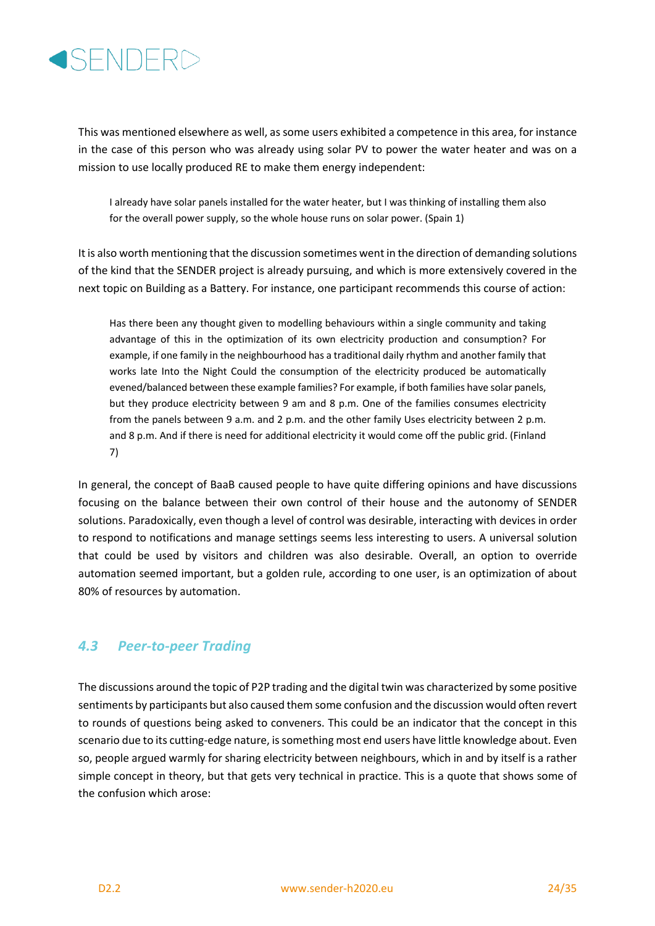

This was mentioned elsewhere as well, as some users exhibited a competence in this area, for instance in the case of this person who was already using solar PV to power the water heater and was on a mission to use locally produced RE to make them energy independent:

I already have solar panels installed for the water heater, but I was thinking of installing them also for the overall power supply, so the whole house runs on solar power. (Spain 1)

It is also worth mentioning that the discussion sometimes went in the direction of demanding solutions of the kind that the SENDER project is already pursuing, and which is more extensively covered in the next topic on Building as a Battery. For instance, one participant recommends this course of action:

Has there been any thought given to modelling behaviours within a single community and taking advantage of this in the optimization of its own electricity production and consumption? For example, if one family in the neighbourhood has a traditional daily rhythm and another family that works late Into the Night Could the consumption of the electricity produced be automatically evened/balanced between these example families? For example, if both families have solar panels, but they produce electricity between 9 am and 8 p.m. One of the families consumes electricity from the panels between 9 a.m. and 2 p.m. and the other family Uses electricity between 2 p.m. and 8 p.m. And if there is need for additional electricity it would come off the public grid. (Finland 7)

In general, the concept of BaaB caused people to have quite differing opinions and have discussions focusing on the balance between their own control of their house and the autonomy of SENDER solutions. Paradoxically, even though a level of control was desirable, interacting with devices in order to respond to notifications and manage settings seems less interesting to users. A universal solution that could be used by visitors and children was also desirable. Overall, an option to override automation seemed important, but a golden rule, according to one user, is an optimization of about 80% of resources by automation.

#### *4.3 Peer-to-peer Trading*

The discussions around the topic of P2P trading and the digital twin was characterized by some positive sentiments by participants but also caused them some confusion and the discussion would often revert to rounds of questions being asked to conveners. This could be an indicator that the concept in this scenario due to its cutting-edge nature, is something most end users have little knowledge about. Even so, people argued warmly for sharing electricity between neighbours, which in and by itself is a rather simple concept in theory, but that gets very technical in practice. This is a quote that shows some of the confusion which arose: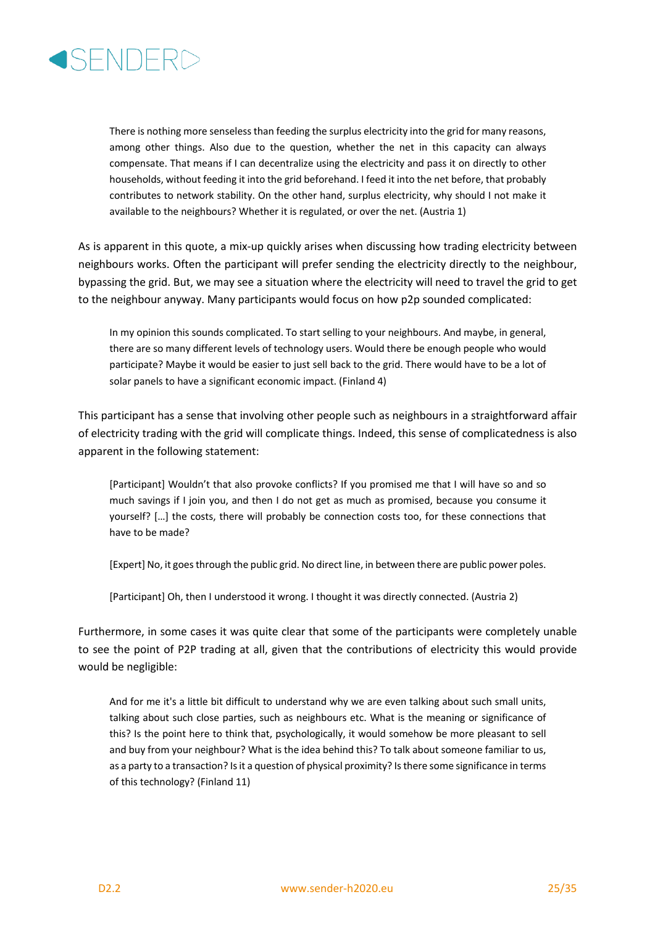

There is nothing more senseless than feeding the surplus electricity into the grid for many reasons, among other things. Also due to the question, whether the net in this capacity can always compensate. That means if I can decentralize using the electricity and pass it on directly to other households, without feeding it into the grid beforehand. I feed it into the net before, that probably contributes to network stability. On the other hand, surplus electricity, why should I not make it available to the neighbours? Whether it is regulated, or over the net. (Austria 1)

As is apparent in this quote, a mix-up quickly arises when discussing how trading electricity between neighbours works. Often the participant will prefer sending the electricity directly to the neighbour, bypassing the grid. But, we may see a situation where the electricity will need to travel the grid to get to the neighbour anyway. Many participants would focus on how p2p sounded complicated:

In my opinion this sounds complicated. To start selling to your neighbours. And maybe, in general, there are so many different levels of technology users. Would there be enough people who would participate? Maybe it would be easier to just sell back to the grid. There would have to be a lot of solar panels to have a significant economic impact. (Finland 4)

This participant has a sense that involving other people such as neighbours in a straightforward affair of electricity trading with the grid will complicate things. Indeed, this sense of complicatedness is also apparent in the following statement:

[Participant] Wouldn't that also provoke conflicts? If you promised me that I will have so and so much savings if I join you, and then I do not get as much as promised, because you consume it yourself? […] the costs, there will probably be connection costs too, for these connections that have to be made?

[Expert] No, it goes through the public grid. No direct line, in between there are public power poles.

[Participant] Oh, then I understood it wrong. I thought it was directly connected. (Austria 2)

Furthermore, in some cases it was quite clear that some of the participants were completely unable to see the point of P2P trading at all, given that the contributions of electricity this would provide would be negligible:

And for me it's a little bit difficult to understand why we are even talking about such small units, talking about such close parties, such as neighbours etc. What is the meaning or significance of this? Is the point here to think that, psychologically, it would somehow be more pleasant to sell and buy from your neighbour? What is the idea behind this? To talk about someone familiar to us, as a party to a transaction? Is it a question of physical proximity? Is there some significance in terms of this technology? (Finland 11)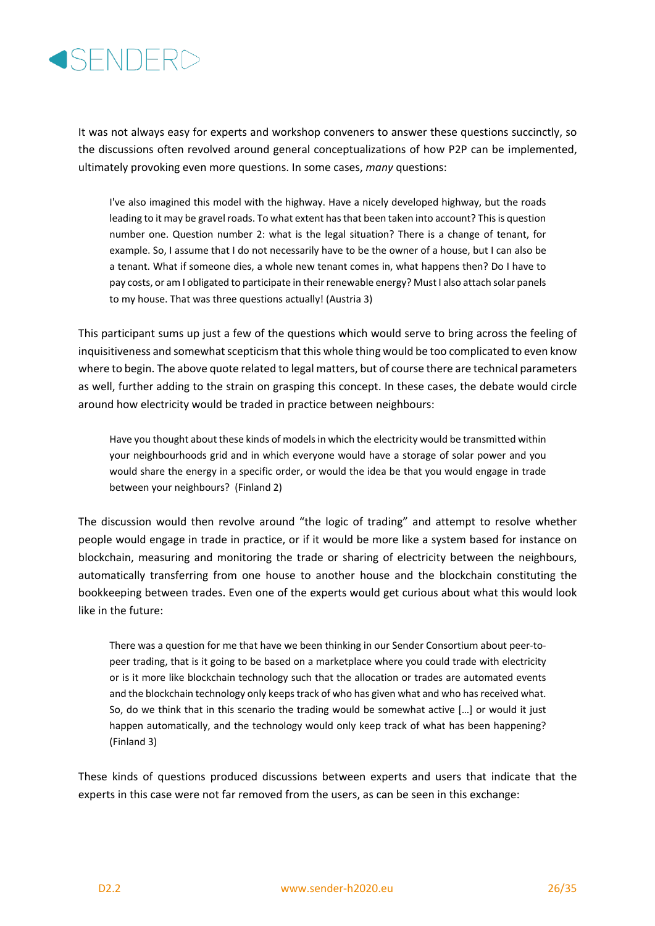

It was not always easy for experts and workshop conveners to answer these questions succinctly, so the discussions often revolved around general conceptualizations of how P2P can be implemented, ultimately provoking even more questions. In some cases, *many* questions:

I've also imagined this model with the highway. Have a nicely developed highway, but the roads leading to it may be gravel roads. To what extent has that been taken into account? This is question number one. Question number 2: what is the legal situation? There is a change of tenant, for example. So, I assume that I do not necessarily have to be the owner of a house, but I can also be a tenant. What if someone dies, a whole new tenant comes in, what happens then? Do I have to pay costs, or am I obligated to participate in their renewable energy? Must I also attach solar panels to my house. That was three questions actually! (Austria 3)

This participant sums up just a few of the questions which would serve to bring across the feeling of inquisitiveness and somewhat scepticism that this whole thing would be too complicated to even know where to begin. The above quote related to legal matters, but of course there are technical parameters as well, further adding to the strain on grasping this concept. In these cases, the debate would circle around how electricity would be traded in practice between neighbours:

Have you thought about these kinds of models in which the electricity would be transmitted within your neighbourhoods grid and in which everyone would have a storage of solar power and you would share the energy in a specific order, or would the idea be that you would engage in trade between your neighbours? (Finland 2)

The discussion would then revolve around "the logic of trading" and attempt to resolve whether people would engage in trade in practice, or if it would be more like a system based for instance on blockchain, measuring and monitoring the trade or sharing of electricity between the neighbours, automatically transferring from one house to another house and the blockchain constituting the bookkeeping between trades. Even one of the experts would get curious about what this would look like in the future:

There was a question for me that have we been thinking in our Sender Consortium about peer-topeer trading, that is it going to be based on a marketplace where you could trade with electricity or is it more like blockchain technology such that the allocation or trades are automated events and the blockchain technology only keeps track of who has given what and who has received what. So, do we think that in this scenario the trading would be somewhat active […] or would it just happen automatically, and the technology would only keep track of what has been happening? (Finland 3)

These kinds of questions produced discussions between experts and users that indicate that the experts in this case were not far removed from the users, as can be seen in this exchange: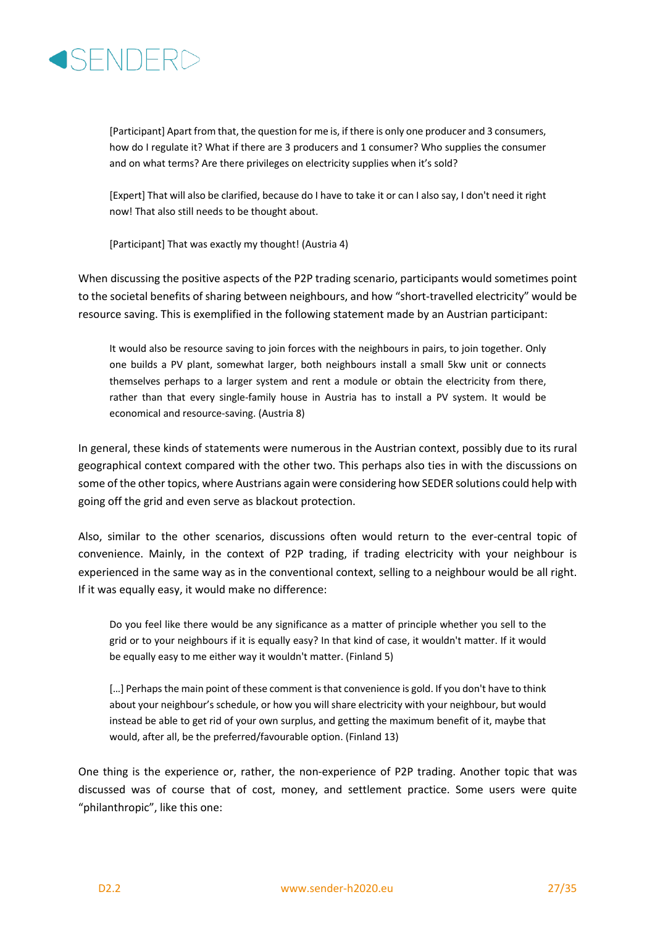

[Participant] Apart from that, the question for me is, if there is only one producer and 3 consumers, how do I regulate it? What if there are 3 producers and 1 consumer? Who supplies the consumer and on what terms? Are there privileges on electricity supplies when it's sold?

[Expert] That will also be clarified, because do I have to take it or can I also say, I don't need it right now! That also still needs to be thought about.

[Participant] That was exactly my thought! (Austria 4)

When discussing the positive aspects of the P2P trading scenario, participants would sometimes point to the societal benefits of sharing between neighbours, and how "short-travelled electricity" would be resource saving. This is exemplified in the following statement made by an Austrian participant:

It would also be resource saving to join forces with the neighbours in pairs, to join together. Only one builds a PV plant, somewhat larger, both neighbours install a small 5kw unit or connects themselves perhaps to a larger system and rent a module or obtain the electricity from there, rather than that every single-family house in Austria has to install a PV system. It would be economical and resource-saving. (Austria 8)

In general, these kinds of statements were numerous in the Austrian context, possibly due to its rural geographical context compared with the other two. This perhaps also ties in with the discussions on some of the other topics, where Austrians again were considering how SEDER solutions could help with going off the grid and even serve as blackout protection.

Also, similar to the other scenarios, discussions often would return to the ever-central topic of convenience. Mainly, in the context of P2P trading, if trading electricity with your neighbour is experienced in the same way as in the conventional context, selling to a neighbour would be all right. If it was equally easy, it would make no difference:

Do you feel like there would be any significance as a matter of principle whether you sell to the grid or to your neighbours if it is equally easy? In that kind of case, it wouldn't matter. If it would be equally easy to me either way it wouldn't matter. (Finland 5)

[...] Perhaps the main point of these comment is that convenience is gold. If you don't have to think about your neighbour's schedule, or how you will share electricity with your neighbour, but would instead be able to get rid of your own surplus, and getting the maximum benefit of it, maybe that would, after all, be the preferred/favourable option. (Finland 13)

One thing is the experience or, rather, the non-experience of P2P trading. Another topic that was discussed was of course that of cost, money, and settlement practice. Some users were quite "philanthropic", like this one: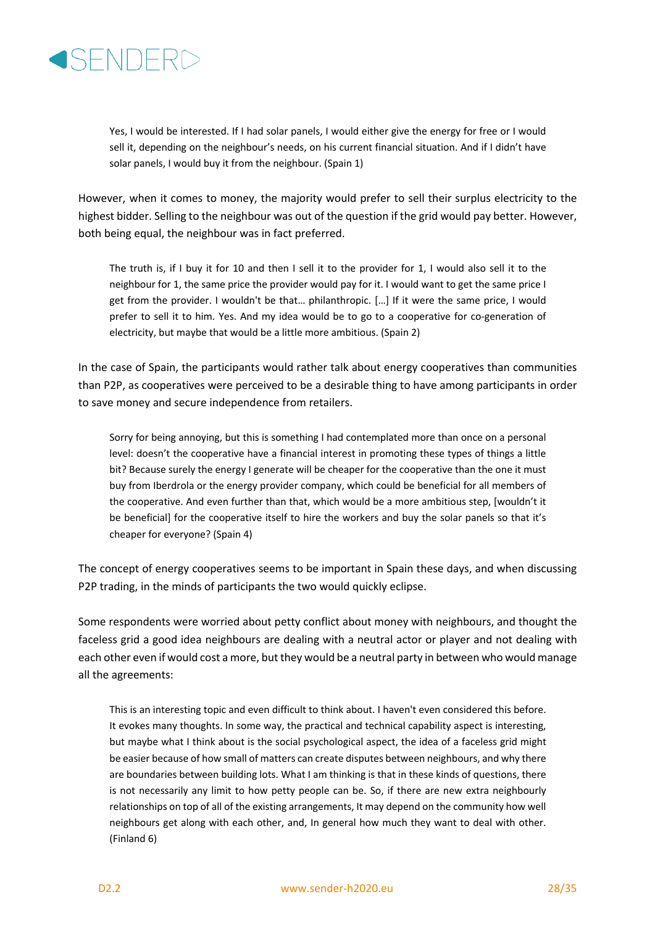

Yes, I would be interested. If I had solar panels, I would either give the energy for free or I would sell it, depending on the neighbour's needs, on his current financial situation. And if I didn't have solar panels, I would buy it from the neighbour. (Spain 1)

However, when it comes to money, the majority would prefer to sell their surplus electricity to the highest bidder. Selling to the neighbour was out of the question if the grid would pay better. However, both being equal, the neighbour was in fact preferred.

The truth is, if I buy it for 10 and then I sell it to the provider for 1, I would also sell it to the neighbour for 1, the same price the provider would pay for it. I would want to get the same price I get from the provider. I wouldn't be that… philanthropic. […] If it were the same price, I would prefer to sell it to him. Yes. And my idea would be to go to a cooperative for co-generation of electricity, but maybe that would be a little more ambitious. (Spain 2)

In the case of Spain, the participants would rather talk about energy cooperatives than communities than P2P, as cooperatives were perceived to be a desirable thing to have among participants in order to save money and secure independence from retailers.

Sorry for being annoying, but this is something I had contemplated more than once on a personal level: doesn't the cooperative have a financial interest in promoting these types of things a little bit? Because surely the energy I generate will be cheaper for the cooperative than the one it must buy from Iberdrola or the energy provider company, which could be beneficial for all members of the cooperative. And even further than that, which would be a more ambitious step, [wouldn't it be beneficial] for the cooperative itself to hire the workers and buy the solar panels so that it's cheaper for everyone? (Spain 4)

The concept of energy cooperatives seems to be important in Spain these days, and when discussing P2P trading, in the minds of participants the two would quickly eclipse.

Some respondents were worried about petty conflict about money with neighbours, and thought the faceless grid a good idea neighbours are dealing with a neutral actor or player and not dealing with each other even if would cost a more, but they would be a neutral party in between who would manage all the agreements:

This is an interesting topic and even difficult to think about. I haven't even considered this before. It evokes many thoughts. In some way, the practical and technical capability aspect is interesting, but maybe what I think about is the social psychological aspect, the idea of a faceless grid might be easier because of how small of matters can create disputes between neighbours, and why there are boundaries between building lots. What I am thinking is that in these kinds of questions, there is not necessarily any limit to how petty people can be. So, if there are new extra neighbourly relationships on top of all of the existing arrangements, It may depend on the community how well neighbours get along with each other, and, In general how much they want to deal with other. (Finland 6)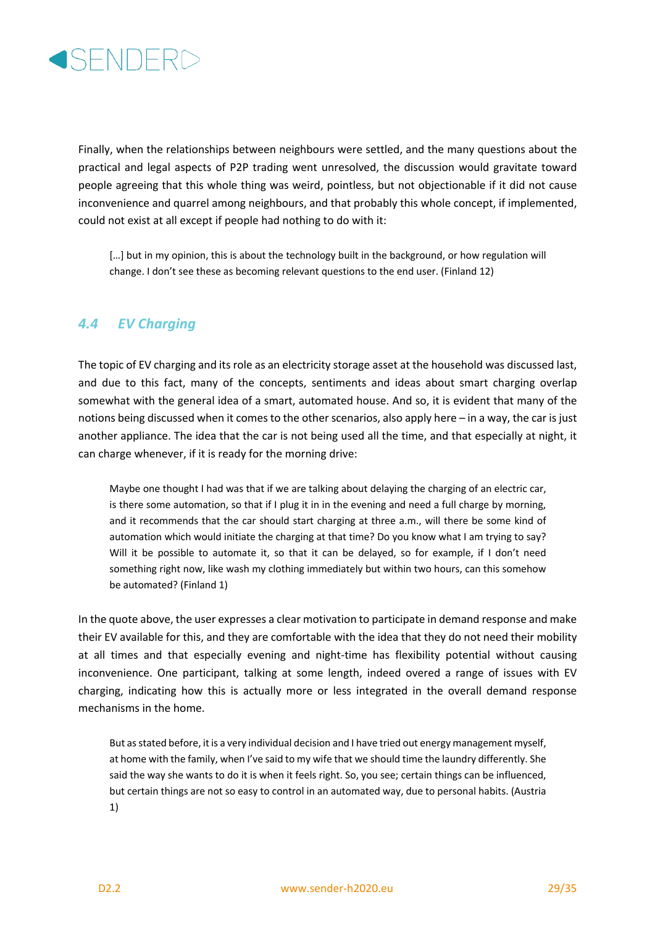

Finally, when the relationships between neighbours were settled, and the many questions about the practical and legal aspects of P2P trading went unresolved, the discussion would gravitate toward people agreeing that this whole thing was weird, pointless, but not objectionable if it did not cause inconvenience and quarrel among neighbours, and that probably this whole concept, if implemented, could not exist at all except if people had nothing to do with it:

[...] but in my opinion, this is about the technology built in the background, or how regulation will change. I don't see these as becoming relevant questions to the end user. (Finland 12)

#### *4.4 EV Charging*

The topic of EV charging and its role as an electricity storage asset at the household was discussed last, and due to this fact, many of the concepts, sentiments and ideas about smart charging overlap somewhat with the general idea of a smart, automated house. And so, it is evident that many of the notions being discussed when it comes to the other scenarios, also apply here – in a way, the car is just another appliance. The idea that the car is not being used all the time, and that especially at night, it can charge whenever, if it is ready for the morning drive:

Maybe one thought I had was that if we are talking about delaying the charging of an electric car, is there some automation, so that if I plug it in in the evening and need a full charge by morning, and it recommends that the car should start charging at three a.m., will there be some kind of automation which would initiate the charging at that time? Do you know what I am trying to say? Will it be possible to automate it, so that it can be delayed, so for example, if I don't need something right now, like wash my clothing immediately but within two hours, can this somehow be automated? (Finland 1)

In the quote above, the user expresses a clear motivation to participate in demand response and make their EV available for this, and they are comfortable with the idea that they do not need their mobility at all times and that especially evening and night-time has flexibility potential without causing inconvenience. One participant, talking at some length, indeed overed a range of issues with EV charging, indicating how this is actually more or less integrated in the overall demand response mechanisms in the home.

But as stated before, it is a very individual decision and I have tried out energy management myself, at home with the family, when I've said to my wife that we should time the laundry differently. She said the way she wants to do it is when it feels right. So, you see; certain things can be influenced, but certain things are not so easy to control in an automated way, due to personal habits. (Austria 1)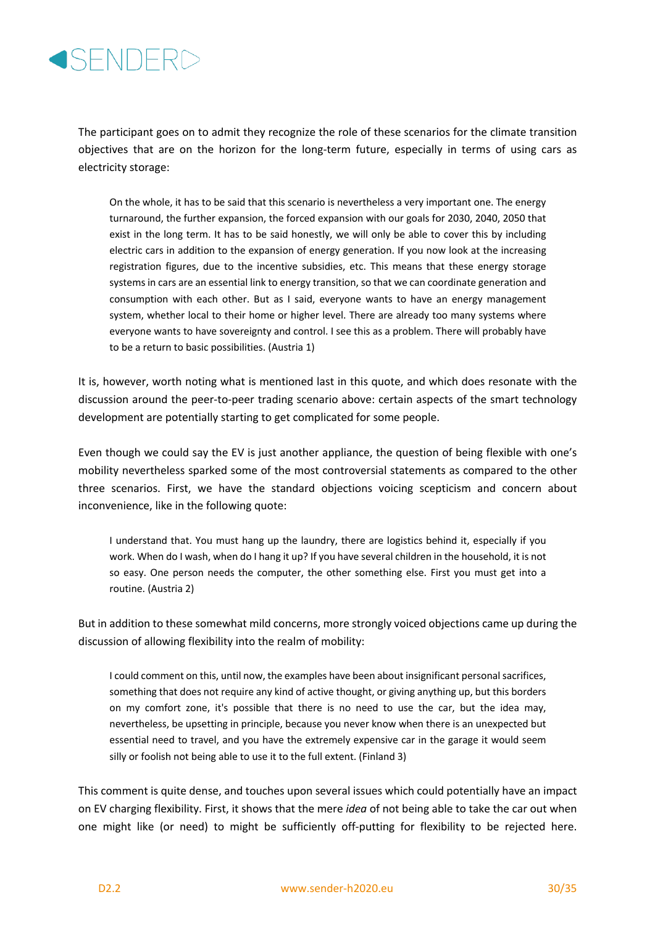

The participant goes on to admit they recognize the role of these scenarios for the climate transition objectives that are on the horizon for the long-term future, especially in terms of using cars as electricity storage:

On the whole, it has to be said that this scenario is nevertheless a very important one. The energy turnaround, the further expansion, the forced expansion with our goals for 2030, 2040, 2050 that exist in the long term. It has to be said honestly, we will only be able to cover this by including electric cars in addition to the expansion of energy generation. If you now look at the increasing registration figures, due to the incentive subsidies, etc. This means that these energy storage systems in cars are an essential link to energy transition, so that we can coordinate generation and consumption with each other. But as I said, everyone wants to have an energy management system, whether local to their home or higher level. There are already too many systems where everyone wants to have sovereignty and control. I see this as a problem. There will probably have to be a return to basic possibilities. (Austria 1)

It is, however, worth noting what is mentioned last in this quote, and which does resonate with the discussion around the peer-to-peer trading scenario above: certain aspects of the smart technology development are potentially starting to get complicated for some people.

Even though we could say the EV is just another appliance, the question of being flexible with one's mobility nevertheless sparked some of the most controversial statements as compared to the other three scenarios. First, we have the standard objections voicing scepticism and concern about inconvenience, like in the following quote:

I understand that. You must hang up the laundry, there are logistics behind it, especially if you work. When do I wash, when do I hang it up? If you have several children in the household, it is not so easy. One person needs the computer, the other something else. First you must get into a routine. (Austria 2)

But in addition to these somewhat mild concerns, more strongly voiced objections came up during the discussion of allowing flexibility into the realm of mobility:

I could comment on this, until now, the examples have been about insignificant personal sacrifices, something that does not require any kind of active thought, or giving anything up, but this borders on my comfort zone, it's possible that there is no need to use the car, but the idea may, nevertheless, be upsetting in principle, because you never know when there is an unexpected but essential need to travel, and you have the extremely expensive car in the garage it would seem silly or foolish not being able to use it to the full extent. (Finland 3)

This comment is quite dense, and touches upon several issues which could potentially have an impact on EV charging flexibility. First, it shows that the mere *idea* of not being able to take the car out when one might like (or need) to might be sufficiently off-putting for flexibility to be rejected here.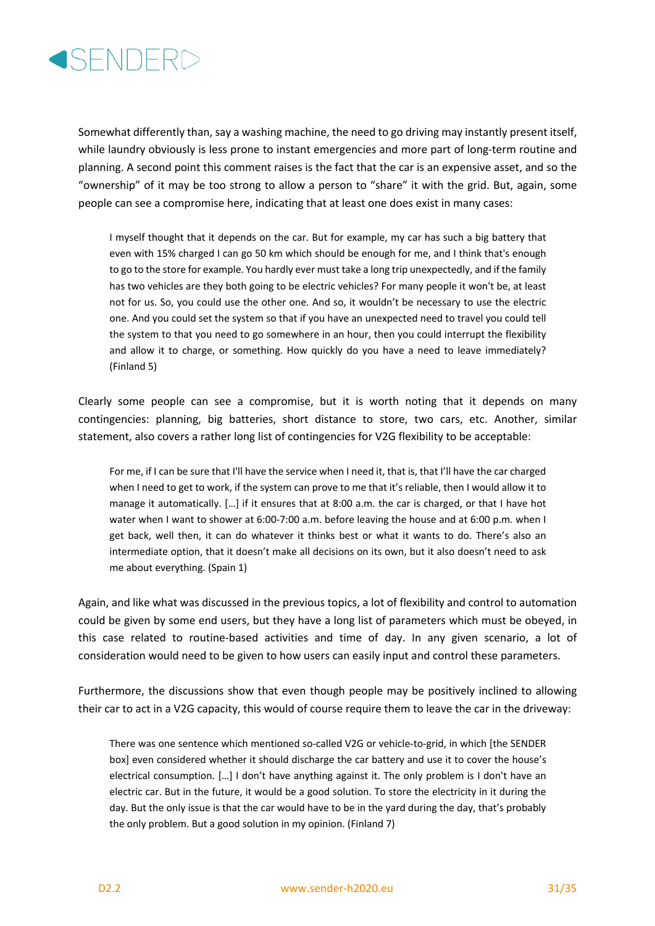

Somewhat differently than, say a washing machine, the need to go driving may instantly present itself, while laundry obviously is less prone to instant emergencies and more part of long-term routine and planning. A second point this comment raises is the fact that the car is an expensive asset, and so the "ownership" of it may be too strong to allow a person to "share" it with the grid. But, again, some people can see a compromise here, indicating that at least one does exist in many cases:

I myself thought that it depends on the car. But for example, my car has such a big battery that even with 15% charged I can go 50 km which should be enough for me, and I think that's enough to go to the store for example. You hardly ever must take a long trip unexpectedly, and if the family has two vehicles are they both going to be electric vehicles? For many people it won't be, at least not for us. So, you could use the other one. And so, it wouldn't be necessary to use the electric one. And you could set the system so that if you have an unexpected need to travel you could tell the system to that you need to go somewhere in an hour, then you could interrupt the flexibility and allow it to charge, or something. How quickly do you have a need to leave immediately? (Finland 5)

Clearly some people can see a compromise, but it is worth noting that it depends on many contingencies: planning, big batteries, short distance to store, two cars, etc. Another, similar statement, also covers a rather long list of contingencies for V2G flexibility to be acceptable:

For me, if I can be sure that I'll have the service when I need it, that is, that I'll have the car charged when I need to get to work, if the system can prove to me that it's reliable, then I would allow it to manage it automatically. […] if it ensures that at 8:00 a.m. the car is charged, or that I have hot water when I want to shower at 6:00-7:00 a.m. before leaving the house and at 6:00 p.m. when I get back, well then, it can do whatever it thinks best or what it wants to do. There's also an intermediate option, that it doesn't make all decisions on its own, but it also doesn't need to ask me about everything. (Spain 1)

Again, and like what was discussed in the previous topics, a lot of flexibility and control to automation could be given by some end users, but they have a long list of parameters which must be obeyed, in this case related to routine-based activities and time of day. In any given scenario, a lot of consideration would need to be given to how users can easily input and control these parameters.

Furthermore, the discussions show that even though people may be positively inclined to allowing their car to act in a V2G capacity, this would of course require them to leave the car in the driveway:

There was one sentence which mentioned so-called V2G or vehicle-to-grid, in which [the SENDER box] even considered whether it should discharge the car battery and use it to cover the house's electrical consumption. […] I don't have anything against it. The only problem is I don't have an electric car. But in the future, it would be a good solution. To store the electricity in it during the day. But the only issue is that the car would have to be in the yard during the day, that's probably the only problem. But a good solution in my opinion. (Finland 7)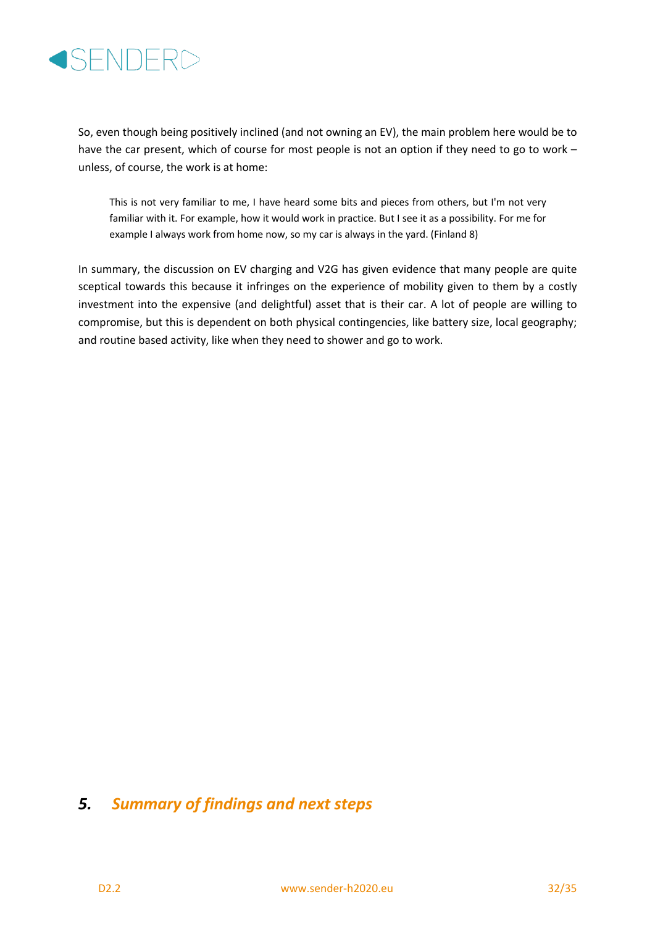

So, even though being positively inclined (and not owning an EV), the main problem here would be to have the car present, which of course for most people is not an option if they need to go to work – unless, of course, the work is at home:

This is not very familiar to me, I have heard some bits and pieces from others, but I'm not very familiar with it. For example, how it would work in practice. But I see it as a possibility. For me for example I always work from home now, so my car is always in the yard. (Finland 8)

In summary, the discussion on EV charging and V2G has given evidence that many people are quite sceptical towards this because it infringes on the experience of mobility given to them by a costly investment into the expensive (and delightful) asset that is their car. A lot of people are willing to compromise, but this is dependent on both physical contingencies, like battery size, local geography; and routine based activity, like when they need to shower and go to work.

# *5. Summary of findings and next steps*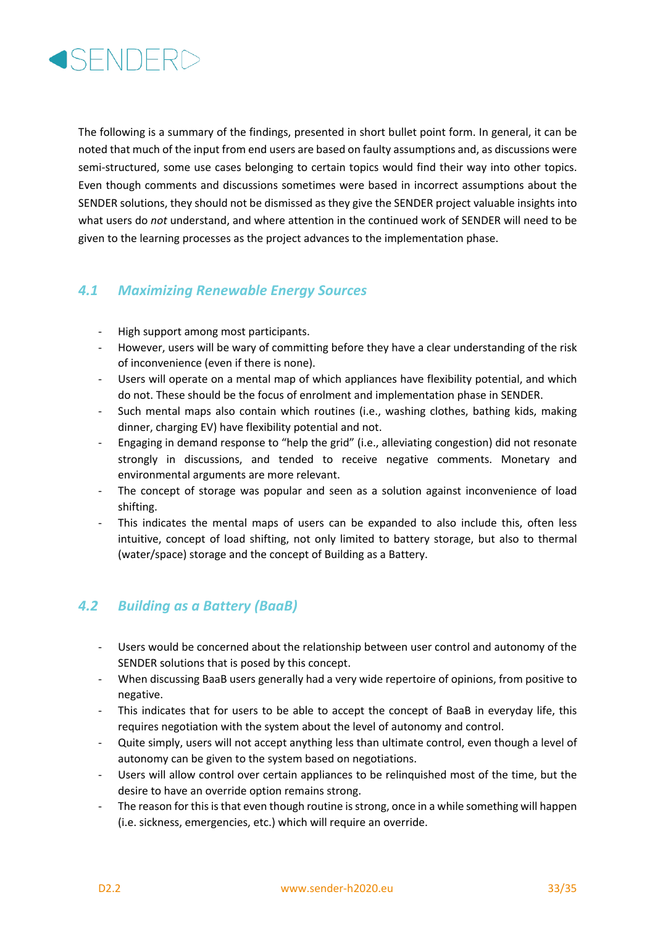

The following is a summary of the findings, presented in short bullet point form. In general, it can be noted that much of the input from end users are based on faulty assumptions and, as discussions were semi-structured, some use cases belonging to certain topics would find their way into other topics. Even though comments and discussions sometimes were based in incorrect assumptions about the SENDER solutions, they should not be dismissed as they give the SENDER project valuable insights into what users do *not* understand, and where attention in the continued work of SENDER will need to be given to the learning processes as the project advances to the implementation phase.

#### *4.1 Maximizing Renewable Energy Sources*

- High support among most participants.
- However, users will be wary of committing before they have a clear understanding of the risk of inconvenience (even if there is none).
- Users will operate on a mental map of which appliances have flexibility potential, and which do not. These should be the focus of enrolment and implementation phase in SENDER.
- Such mental maps also contain which routines (i.e., washing clothes, bathing kids, making dinner, charging EV) have flexibility potential and not.
- Engaging in demand response to "help the grid" (i.e., alleviating congestion) did not resonate strongly in discussions, and tended to receive negative comments. Monetary and environmental arguments are more relevant.
- The concept of storage was popular and seen as a solution against inconvenience of load shifting.
- This indicates the mental maps of users can be expanded to also include this, often less intuitive, concept of load shifting, not only limited to battery storage, but also to thermal (water/space) storage and the concept of Building as a Battery.

#### *4.2 Building as a Battery (BaaB)*

- Users would be concerned about the relationship between user control and autonomy of the SENDER solutions that is posed by this concept.
- When discussing BaaB users generally had a very wide repertoire of opinions, from positive to negative.
- This indicates that for users to be able to accept the concept of BaaB in everyday life, this requires negotiation with the system about the level of autonomy and control.
- Quite simply, users will not accept anything less than ultimate control, even though a level of autonomy can be given to the system based on negotiations.
- Users will allow control over certain appliances to be relinquished most of the time, but the desire to have an override option remains strong.
- The reason for this is that even though routine is strong, once in a while something will happen (i.e. sickness, emergencies, etc.) which will require an override.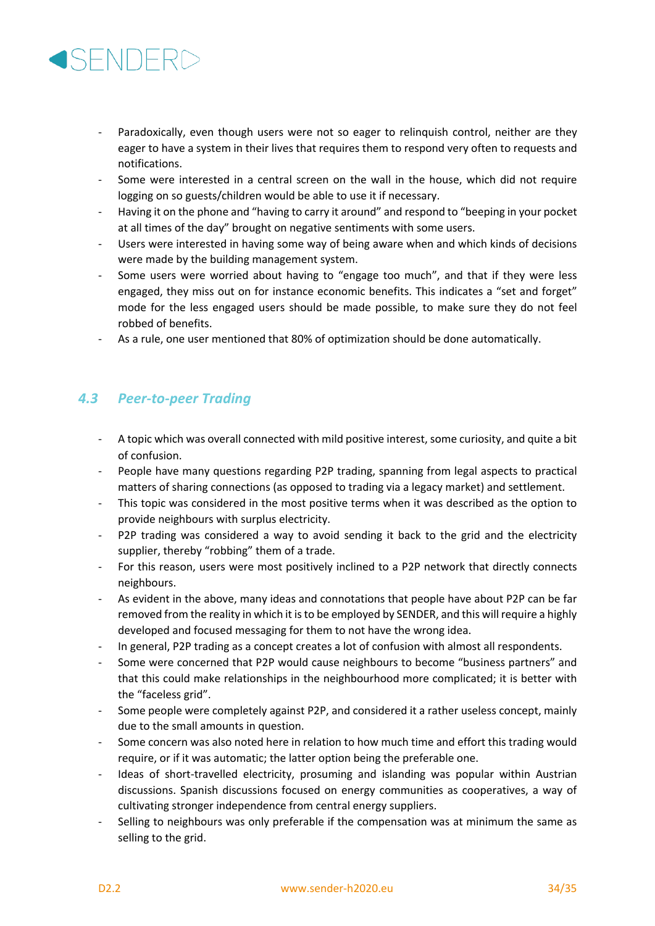

- Paradoxically, even though users were not so eager to relinguish control, neither are they eager to have a system in their lives that requires them to respond very often to requests and notifications.
- Some were interested in a central screen on the wall in the house, which did not require logging on so guests/children would be able to use it if necessary.
- Having it on the phone and "having to carry it around" and respond to "beeping in your pocket at all times of the day" brought on negative sentiments with some users.
- Users were interested in having some way of being aware when and which kinds of decisions were made by the building management system.
- Some users were worried about having to "engage too much", and that if they were less engaged, they miss out on for instance economic benefits. This indicates a "set and forget" mode for the less engaged users should be made possible, to make sure they do not feel robbed of benefits.
- As a rule, one user mentioned that 80% of optimization should be done automatically.

#### *4.3 Peer-to-peer Trading*

- A topic which was overall connected with mild positive interest, some curiosity, and quite a bit of confusion.
- People have many questions regarding P2P trading, spanning from legal aspects to practical matters of sharing connections (as opposed to trading via a legacy market) and settlement.
- This topic was considered in the most positive terms when it was described as the option to provide neighbours with surplus electricity.
- P2P trading was considered a way to avoid sending it back to the grid and the electricity supplier, thereby "robbing" them of a trade.
- For this reason, users were most positively inclined to a P2P network that directly connects neighbours.
- As evident in the above, many ideas and connotations that people have about P2P can be far removed from the reality in which it is to be employed by SENDER, and this will require a highly developed and focused messaging for them to not have the wrong idea.
- In general, P2P trading as a concept creates a lot of confusion with almost all respondents.
- Some were concerned that P2P would cause neighbours to become "business partners" and that this could make relationships in the neighbourhood more complicated; it is better with the "faceless grid".
- Some people were completely against P2P, and considered it a rather useless concept, mainly due to the small amounts in question.
- Some concern was also noted here in relation to how much time and effort this trading would require, or if it was automatic; the latter option being the preferable one.
- Ideas of short-travelled electricity, prosuming and islanding was popular within Austrian discussions. Spanish discussions focused on energy communities as cooperatives, a way of cultivating stronger independence from central energy suppliers.
- Selling to neighbours was only preferable if the compensation was at minimum the same as selling to the grid.